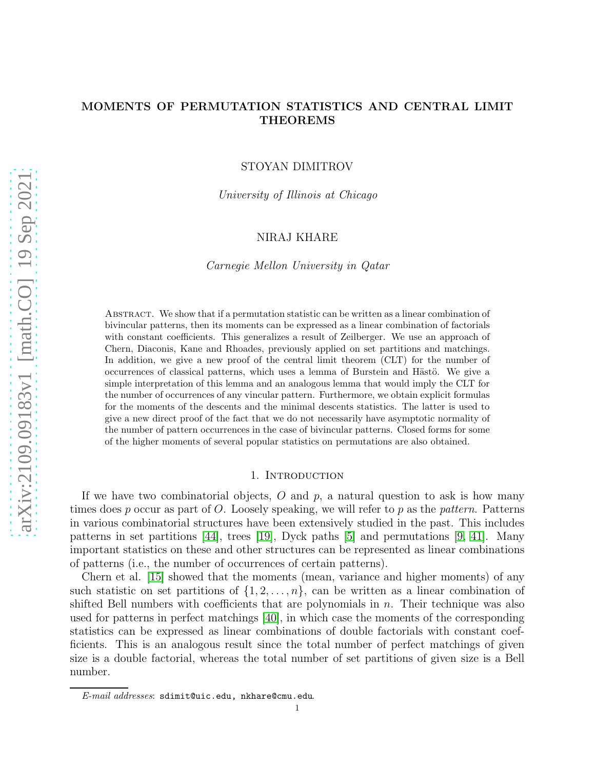# MOMENTS OF PERMUTATION STATISTICS AND CENTRAL LIMIT THEOREMS

STOYAN DIMITROV

University of Illinois at Chicago

### NIRAJ KHARE

Carnegie Mellon University in Qatar

Abstract. We show that if a permutation statistic can be written as a linear combination of bivincular patterns, then its moments can be expressed as a linear combination of factorials with constant coefficients. This generalizes a result of Zeilberger. We use an approach of Chern, Diaconis, Kane and Rhoades, previously applied on set partitions and matchings. In addition, we give a new proof of the central limit theorem (CLT) for the number of occurrences of classical patterns, which uses a lemma of Burstein and Hästö. We give a simple interpretation of this lemma and an analogous lemma that would imply the CLT for the number of occurrences of any vincular pattern. Furthermore, we obtain explicit formulas for the moments of the descents and the minimal descents statistics. The latter is used to give a new direct proof of the fact that we do not necessarily have asymptotic normality of the number of pattern occurrences in the case of bivincular patterns. Closed forms for some of the higher moments of several popular statistics on permutations are also obtained.

### 1. INTRODUCTION

If we have two combinatorial objects,  $O$  and  $p$ , a natural question to ask is how many times does p occur as part of O. Loosely speaking, we will refer to p as the pattern. Patterns in various combinatorial structures have been extensively studied in the past. This includes patterns in set partitions [\[44\]](#page-25-0), trees [\[19\]](#page-24-0), Dyck paths [\[5\]](#page-24-1) and permutations [\[9,](#page-24-2) [41\]](#page-25-1). Many important statistics on these and other structures can be represented as linear combinations of patterns (i.e., the number of occurrences of certain patterns).

Chern et al. [\[15\]](#page-24-3) showed that the moments (mean, variance and higher moments) of any such statistic on set partitions of  $\{1, 2, \ldots, n\}$ , can be written as a linear combination of shifted Bell numbers with coefficients that are polynomials in  $n$ . Their technique was also used for patterns in perfect matchings [\[40\]](#page-25-2), in which case the moments of the corresponding statistics can be expressed as linear combinations of double factorials with constant coefficients. This is an analogous result since the total number of perfect matchings of given size is a double factorial, whereas the total number of set partitions of given size is a Bell number.

E-mail addresses: sdimit@uic.edu, nkhare@cmu.edu.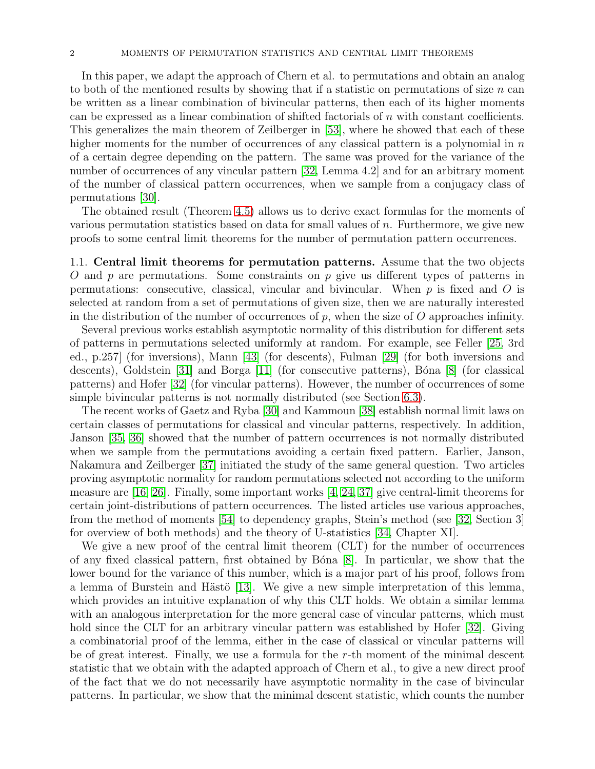In this paper, we adapt the approach of Chern et al. to permutations and obtain an analog to both of the mentioned results by showing that if a statistic on permutations of size  $n$  can be written as a linear combination of bivincular patterns, then each of its higher moments can be expressed as a linear combination of shifted factorials of n with constant coefficients. This generalizes the main theorem of Zeilberger in [\[53\]](#page-26-0), where he showed that each of these higher moments for the number of occurrences of any classical pattern is a polynomial in  $n$ of a certain degree depending on the pattern. The same was proved for the variance of the number of occurrences of any vincular pattern [\[32,](#page-25-3) Lemma 4.2] and for an arbitrary moment of the number of classical pattern occurrences, when we sample from a conjugacy class of permutations [\[30\]](#page-25-4).

The obtained result (Theorem [4.5\)](#page-11-0) allows us to derive exact formulas for the moments of various permutation statistics based on data for small values of  $n$ . Furthermore, we give new proofs to some central limit theorems for the number of permutation pattern occurrences.

1.1. Central limit theorems for permutation patterns. Assume that the two objects O and p are permutations. Some constraints on p give us different types of patterns in permutations: consecutive, classical, vincular and bivincular. When  $p$  is fixed and  $O$  is selected at random from a set of permutations of given size, then we are naturally interested in the distribution of the number of occurrences of  $p$ , when the size of  $O$  approaches infinity.

Several previous works establish asymptotic normality of this distribution for different sets of patterns in permutations selected uniformly at random. For example, see Feller [\[25,](#page-25-5) 3rd ed., p.257] (for inversions), Mann [\[43\]](#page-25-6) (for descents), Fulman [\[29\]](#page-25-7) (for both inversions and descents), Goldstein [\[31\]](#page-25-8) and Borga [\[11\]](#page-24-4) (for consecutive patterns), Bona [\[8\]](#page-24-5) (for classical patterns) and Hofer [\[32\]](#page-25-3) (for vincular patterns). However, the number of occurrences of some simple bivincular patterns is not normally distributed (see Section [6.3\)](#page-20-0).

The recent works of Gaetz and Ryba [\[30\]](#page-25-4) and Kammoun [\[38\]](#page-25-9) establish normal limit laws on certain classes of permutations for classical and vincular patterns, respectively. In addition, Janson [\[35,](#page-25-10) [36\]](#page-25-11) showed that the number of pattern occurrences is not normally distributed when we sample from the permutations avoiding a certain fixed pattern. Earlier, Janson, Nakamura and Zeilberger [\[37\]](#page-25-12) initiated the study of the same general question. Two articles proving asymptotic normality for random permutations selected not according to the uniform measure are [\[16,](#page-24-6) [26\]](#page-25-13). Finally, some important works [\[4,](#page-24-7) [24,](#page-25-14) [37\]](#page-25-12) give central-limit theorems for certain joint-distributions of pattern occurrences. The listed articles use various approaches, from the method of moments [\[54\]](#page-26-1) to dependency graphs, Stein's method (see [\[32,](#page-25-3) Section 3] for overview of both methods) and the theory of U-statistics [\[34,](#page-25-15) Chapter XI].

We give a new proof of the central limit theorem (CLT) for the number of occurrences of any fixed classical pattern, first obtained by B´ona [\[8\]](#page-24-5). In particular, we show that the lower bound for the variance of this number, which is a major part of his proof, follows from a lemma of Burstein and Hästö [\[13\]](#page-24-8). We give a new simple interpretation of this lemma, which provides an intuitive explanation of why this CLT holds. We obtain a similar lemma with an analogous interpretation for the more general case of vincular patterns, which must hold since the CLT for an arbitrary vincular pattern was established by Hofer [\[32\]](#page-25-3). Giving a combinatorial proof of the lemma, either in the case of classical or vincular patterns will be of great interest. Finally, we use a formula for the  $r$ -th moment of the minimal descent statistic that we obtain with the adapted approach of Chern et al., to give a new direct proof of the fact that we do not necessarily have asymptotic normality in the case of bivincular patterns. In particular, we show that the minimal descent statistic, which counts the number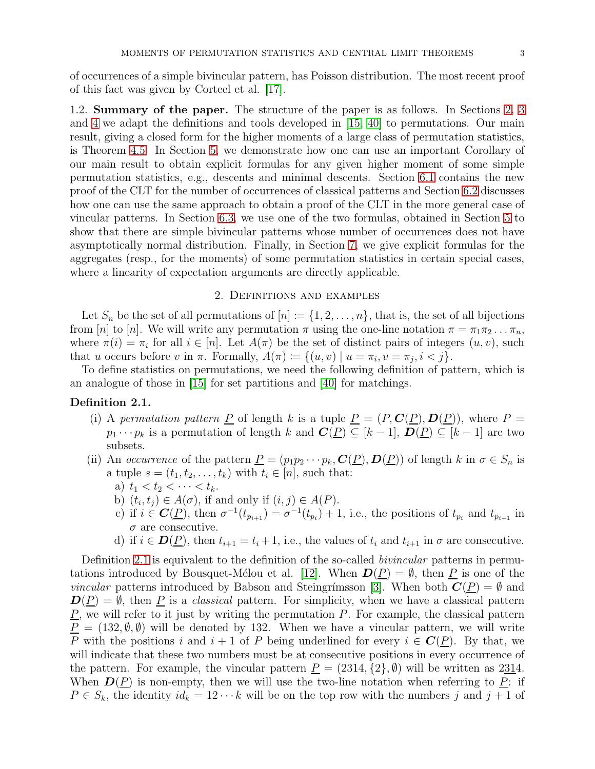of occurrences of a simple bivincular pattern, has Poisson distribution. The most recent proof of this fact was given by Corteel et al. [\[17\]](#page-24-9).

1.2. Summary of the paper. The structure of the paper is as follows. In Sections [2,](#page-2-0) [3](#page-5-0) and [4](#page-8-0) we adapt the definitions and tools developed in [\[15,](#page-24-3) [40\]](#page-25-2) to permutations. Our main result, giving a closed form for the higher moments of a large class of permutation statistics, is Theorem [4.5.](#page-11-0) In Section [5,](#page-13-0) we demonstrate how one can use an important Corollary of our main result to obtain explicit formulas for any given higher moment of some simple permutation statistics, e.g., descents and minimal descents. Section [6.1](#page-15-0) contains the new proof of the CLT for the number of occurrences of classical patterns and Section [6.2](#page-18-0) discusses how one can use the same approach to obtain a proof of the CLT in the more general case of vincular patterns. In Section [6.3,](#page-20-0) we use one of the two formulas, obtained in Section [5](#page-13-0) to show that there are simple bivincular patterns whose number of occurrences does not have asymptotically normal distribution. Finally, in Section [7,](#page-21-0) we give explicit formulas for the aggregates (resp., for the moments) of some permutation statistics in certain special cases, where a linearity of expectation arguments are directly applicable.

#### 2. Definitions and examples

<span id="page-2-0"></span>Let  $S_n$  be the set of all permutations of  $[n] := \{1, 2, \ldots, n\}$ , that is, the set of all bijections from [n] to [n]. We will write any permutation  $\pi$  using the one-line notation  $\pi = \pi_1 \pi_2 \dots \pi_n$ , where  $\pi(i) = \pi_i$  for all  $i \in [n]$ . Let  $A(\pi)$  be the set of distinct pairs of integers  $(u, v)$ , such that u occurs before v in  $\pi$ . Formally,  $A(\pi) := \{(u, v) \mid u = \pi_i, v = \pi_j, i < j\}.$ 

To define statistics on permutations, we need the following definition of pattern, which is an analogue of those in [\[15\]](#page-24-3) for set partitions and [\[40\]](#page-25-2) for matchings.

#### <span id="page-2-1"></span>Definition 2.1.

- (i) A permutation pattern P of length k is a tuple  $P = (P, C(P), D(P))$ , where P =  $p_1 \cdots p_k$  is a permutation of length k and  $\mathbf{C}(\underline{P}) \subseteq [k-1], \mathbf{D}(\underline{P}) \subseteq [k-1]$  are two subsets.
- (ii) An occurrence of the pattern  $\underline{P} = (p_1p_2\cdots p_k, \mathbf{C}(\underline{P}), \mathbf{D}(\underline{P}))$  of length k in  $\sigma \in S_n$  is a tuple  $s = (t_1, t_2, \ldots, t_k)$  with  $t_i \in [n]$ , such that:
	- a)  $t_1 < t_2 < \cdots < t_k$ .
	- b)  $(t_i, t_j) \in A(\sigma)$ , if and only if  $(i, j) \in A(P)$ .
	- c) if  $i \in \mathbb{C}(\underline{P})$ , then  $\sigma^{-1}(t_{p_{i+1}}) = \sigma^{-1}(t_{p_i}) + 1$ , i.e., the positions of  $t_{p_i}$  and  $t_{p_{i+1}}$  in  $\sigma$  are consecutive.
	- d) if  $i \in \mathbf{D}(\underline{P})$ , then  $t_{i+1} = t_i + 1$ , i.e., the values of  $t_i$  and  $t_{i+1}$  in  $\sigma$  are consecutive.

Definition [2.1](#page-2-1) is equivalent to the definition of the so-called *bivincular* patterns in permu-tations introduced by Bousquet-Mélou et al. [\[12\]](#page-24-10). When  $\mathbf{D}(\underline{P}) = \emptyset$ , then  $\underline{P}$  is one of the *vincular* patterns introduced by Babson and Steingrímsson [\[3\]](#page-24-11). When both  $\mathbf{C}(\underline{P}) = \emptyset$  and  $D(P) = \emptyset$ , then P is a *classical* pattern. For simplicity, when we have a classical pattern  $P$ , we will refer to it just by writing the permutation  $P$ . For example, the classical pattern  $P = (132, \emptyset, \emptyset)$  will be denoted by 132. When we have a vincular pattern, we will write P with the positions i and  $i + 1$  of P being underlined for every  $i \in \mathbb{C}(\underline{P})$ . By that, we will indicate that these two numbers must be at consecutive positions in every occurrence of the pattern. For example, the vincular pattern  $\underline{P} = (2314, \{2\}, \emptyset)$  will be written as 2314. When  $\mathbf{D}(\underline{P})$  is non-empty, then we will use the two-line notation when referring to  $\underline{P}$ : if  $P \in S_k$ , the identity  $id_k = 12 \cdots k$  will be on the top row with the numbers j and  $j + 1$  of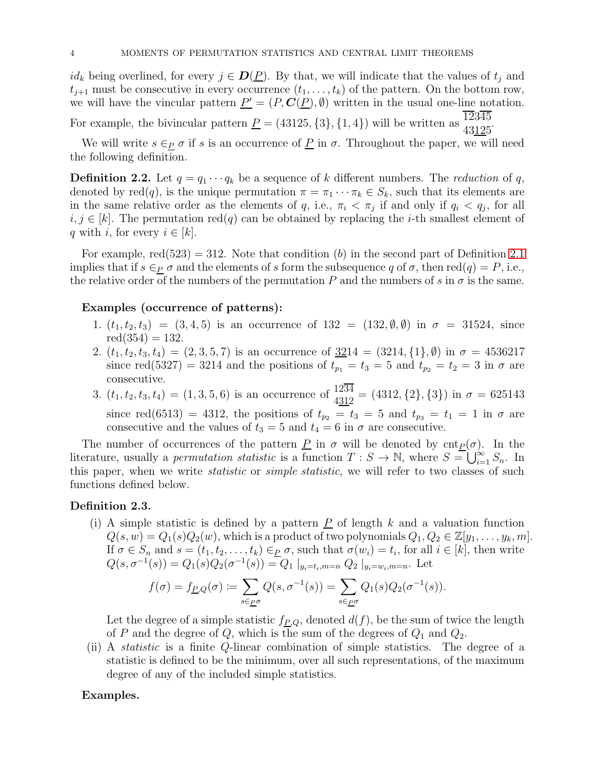id<sub>k</sub> being overlined, for every  $j \in \mathbf{D}(\underline{P})$ . By that, we will indicate that the values of  $t_j$  and  $t_{j+1}$  must be consecutive in every occurrence  $(t_1, \ldots, t_k)$  of the pattern. On the bottom row, we will have the vincular pattern  $\underline{P'} = (P, \mathcal{C}(\underline{P}), \emptyset)$  written in the usual one-line notation.

For example, the bivincular pattern  $\underline{P} = (43125, \{3\}, \{1,4\})$  will be written as  $\overline{12345}$ .

We will write  $s \in_P \sigma$  if s is an occurrence of P in  $\sigma$ . Throughout the paper, we will need the following definition.

**Definition 2.2.** Let  $q = q_1 \cdots q_k$  be a sequence of k different numbers. The *reduction* of q, denoted by red(q), is the unique permutation  $\pi = \pi_1 \cdots \pi_k \in S_k$ , such that its elements are in the same relative order as the elements of q, i.e.,  $\pi_i < \pi_j$  if and only if  $q_i < q_j$ , for all  $i, j \in [k]$ . The permutation red(q) can be obtained by replacing the *i*-th smallest element of q with i, for every  $i \in [k]$ .

For example,  $red(523) = 312$ . Note that condition (b) in the second part of Definition [2.1](#page-2-1) implies that if  $s \in_P \sigma$  and the elements of s form the subsequence q of  $\sigma$ , then red $(q) = P$ , i.e., the relative order of the numbers of the permutation P and the numbers of s in  $\sigma$  is the same.

### Examples (occurrence of patterns):

- 1.  $(t_1, t_2, t_3) = (3, 4, 5)$  is an occurrence of  $132 = (132, \emptyset, \emptyset)$  in  $\sigma = 31524$ , since  $red(354) = 132.$
- 2.  $(t_1, t_2, t_3, t_4) = (2, 3, 5, 7)$  is an occurrence of  $3214 = (3214, \{1\}, \emptyset)$  in  $\sigma = 4536217$ since red(5327) = 3214 and the positions of  $t_{p_1} = t_3 = 5$  and  $t_{p_2} = t_2 = 3$  in  $\sigma$  are consecutive.
- 3.  $(t_1, t_2, t_3, t_4) = (1, 3, 5, 6)$  is an occurrence of  $\frac{1234}{4312} = (4312, \{2\}, \{3\})$  in  $\sigma = 625143$ since red(6513) = 4312, the positions of  $t_{p_2} = t_3 = 5$  and  $t_{p_3} = t_1 = 1$  in  $\sigma$  are consecutive and the values of  $t_3 = 5$  and  $t_4 = 6$  in  $\sigma$  are consecutive.

The number of occurrences of the pattern  $\underline{P}$  in  $\sigma$  will be denoted by  $\text{cnt}_P(\sigma)$ . In the literature, usually a *permutation statistic* is a function  $T : S \to \mathbb{N}$ , where  $S = \bigcup_{i=1}^{\infty} S_n$ . In this paper, when we write *statistic* or *simple statistic*, we will refer to two classes of such functions defined below.

#### Definition 2.3.

(i) A simple statistic is defined by a pattern  $\underline{P}$  of length k and a valuation function  $Q(s, w) = Q_1(s)Q_2(w)$ , which is a product of two polynomials  $Q_1, Q_2 \in \mathbb{Z}[y_1, \ldots, y_k, m]$ . If  $\sigma \in S_n$  and  $s = (t_1, t_2, \ldots, t_k) \in \mathbb{R}^n$ , such that  $\sigma(w_i) = t_i$ , for all  $i \in [k]$ , then write  $Q(s, \sigma^{-1}(s)) = Q_1(s)Q_2(\sigma^{-1}(s)) = Q_1 \mid_{y_i=t_i, m=n} Q_2 \mid_{y_i=w_i, m=n}$ . Let

$$
f(\sigma) = f_{\underline{P},Q}(\sigma) := \sum_{s \in \underline{P}\sigma} Q(s, \sigma^{-1}(s)) = \sum_{s \in \underline{P}\sigma} Q_1(s) Q_2(\sigma^{-1}(s)).
$$

Let the degree of a simple statistic  $f_{P,Q}$ , denoted  $d(f)$ , be the sum of twice the length of P and the degree of Q, which is the sum of the degrees of  $Q_1$  and  $Q_2$ .

(ii) A statistic is a finite Q-linear combination of simple statistics. The degree of a statistic is defined to be the minimum, over all such representations, of the maximum degree of any of the included simple statistics.

### Examples.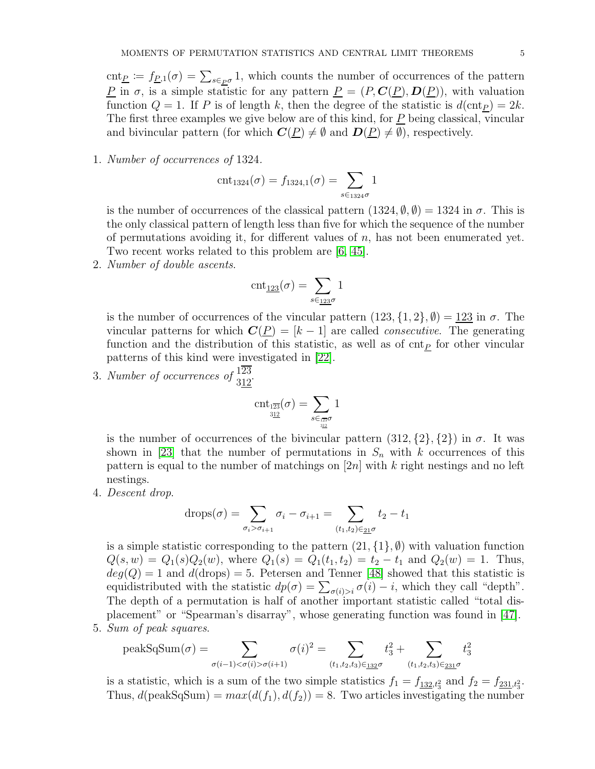cnt<sub>*P*</sub> :=  $f_{P,1}(\sigma) = \sum_{s \in P} 1$ , which counts the number of occurrences of the pattern P in  $\sigma$ , is a simple statistic for any pattern  $\underline{P} = (P, C(\underline{P}), D(\underline{P}))$ , with valuation function  $Q = 1$ . If P is of length k, then the degree of the statistic is  $d(\text{cnt}_P) = 2k$ . The first three examples we give below are of this kind, for  $\underline{P}$  being classical, vincular and bivincular pattern (for which  $\mathbf{C}(\underline{P}) \neq \emptyset$  and  $\mathbf{D}(\underline{P}) \neq \emptyset$ ), respectively.

1. Number of occurrences of 1324.

$$
\mathrm{cnt}_{1324}(\sigma) = f_{1324,1}(\sigma) = \sum_{s \in 1324\sigma} 1
$$

is the number of occurrences of the classical pattern  $(1324, \emptyset, \emptyset) = 1324$  in  $\sigma$ . This is the only classical pattern of length less than five for which the sequence of the number of permutations avoiding it, for different values of  $n$ , has not been enumerated yet. Two recent works related to this problem are [\[6,](#page-24-12) [45\]](#page-25-16).

2. Number of double ascents.

$$
\mathrm{cnt}_{\underline{123}}(\sigma) = \sum_{s \in \underline{123}\sigma} 1
$$

is the number of occurrences of the vincular pattern  $(123, \{1, 2\}, \emptyset) = 123$  in  $\sigma$ . The vincular patterns for which  $C(P) = [k-1]$  are called *consecutive*. The generating function and the distribution of this statistic, as well as of  $\text{cnt}_P$  for other vincular patterns of this kind were investigated in [\[22\]](#page-25-17).

3. Number of occurrences of  $\frac{123}{312}$ .

$$
\mathrm{cnt}_{\frac{123}{312}}(\sigma) = \sum_{s \in \frac{123}{312}} 1
$$

is the number of occurrences of the bivincular pattern  $(312, \{2\}, \{2\})$  in  $\sigma$ . It was shown in [\[23\]](#page-25-18) that the number of permutations in  $S_n$  with k occurrences of this pattern is equal to the number of matchings on  $|2n|$  with k right nestings and no left nestings.

4. Descent drop.

$$
\text{drops}(\sigma) = \sum_{\sigma_i > \sigma_{i+1}} \sigma_i - \sigma_{i+1} = \sum_{(t_1, t_2) \in \underline{\sigma}_1 \sigma} t_2 - t_1
$$

is a simple statistic corresponding to the pattern  $(21, \{1\}, \emptyset)$  with valuation function  $Q(s, w) = Q_1(s)Q_2(w)$ , where  $Q_1(s) = Q_1(t_1, t_2) = t_2 - t_1$  and  $Q_2(w) = 1$ . Thus,  $deg(Q) = 1$  and  $d(drops) = 5$ . Petersen and Tenner [\[48\]](#page-25-19) showed that this statistic is equidistributed with the statistic  $dp(\sigma) = \sum_{\sigma(i)>i} \sigma(i) - i$ , which they call "depth". The depth of a permutation is half of another important statistic called "total displacement" or "Spearman's disarray", whose generating function was found in [\[47\]](#page-25-20). 5. Sum of peak squares.

$$
peakSqSum(\sigma) = \sum_{\sigma(i-1) < \sigma(i) > \sigma(i+1)} \sigma(i)^2 = \sum_{(t_1, t_2, t_3) \in \underline{132\sigma}} t_3^2 + \sum_{(t_1, t_2, t_3) \in \underline{231\sigma}} t_3^2
$$

is a statistic, which is a sum of the two simple statistics  $f_1 = f_{132,t_3^2}$  and  $f_2 = f_{231,t_3^2}$ . Thus,  $d(\text{peakSqSum}) = max(d(f_1), d(f_2)) = 8$ . Two articles investigating the number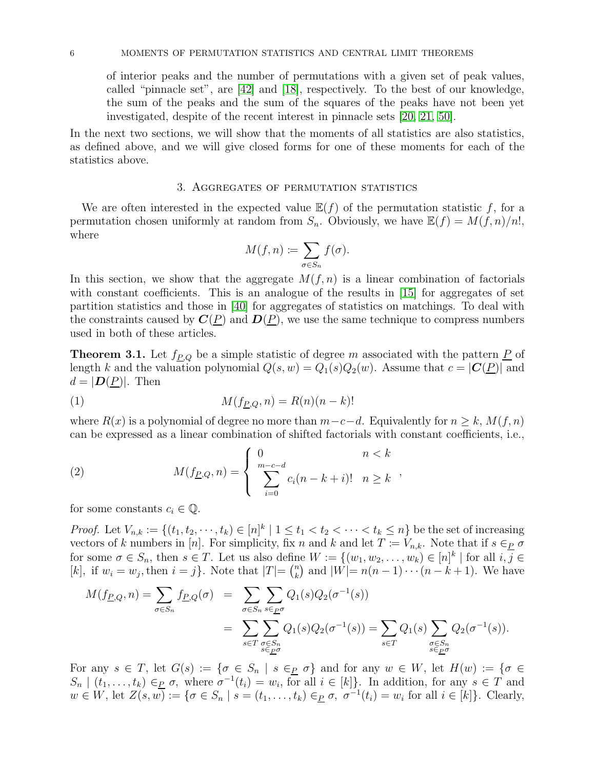of interior peaks and the number of permutations with a given set of peak values, called "pinnacle set", are [\[42\]](#page-25-21) and [\[18\]](#page-24-13), respectively. To the best of our knowledge, the sum of the peaks and the sum of the squares of the peaks have not been yet investigated, despite of the recent interest in pinnacle sets [\[20,](#page-24-14) [21,](#page-24-15) [50\]](#page-25-22).

<span id="page-5-0"></span>In the next two sections, we will show that the moments of all statistics are also statistics, as defined above, and we will give closed forms for one of these moments for each of the statistics above.

### 3. Aggregates of permutation statistics

We are often interested in the expected value  $E(f)$  of the permutation statistic f, for a permutation chosen uniformly at random from  $S_n$ . Obviously, we have  $\mathbb{E}(f) = M(f,n)/n!$ , where

$$
M(f, n) := \sum_{\sigma \in S_n} f(\sigma).
$$

In this section, we show that the aggregate  $M(f, n)$  is a linear combination of factorials with constant coefficients. This is an analogue of the results in [\[15\]](#page-24-3) for aggregates of set partition statistics and those in [\[40\]](#page-25-2) for aggregates of statistics on matchings. To deal with the constraints caused by  $C(\underline{P})$  and  $D(\underline{P})$ , we use the same technique to compress numbers used in both of these articles.

<span id="page-5-2"></span>**Theorem 3.1.** Let  $f_{P,Q}$  be a simple statistic of degree m associated with the pattern  $\overline{P}$  of length k and the valuation polynomial  $Q(s, w) = Q_1(s)Q_2(w)$ . Assume that  $c = |C(P)|$  and  $d = |D(P)|$ . Then

(1) 
$$
M(f_{\underline{P},Q},n) = R(n)(n-k)!
$$

where  $R(x)$  is a polynomial of degree no more than  $m-c-d$ . Equivalently for  $n \geq k$ ,  $M(f, n)$ can be expressed as a linear combination of shifted factorials with constant coefficients, i.e.,

<span id="page-5-1"></span>(2) 
$$
M(f_{\underline{P},Q}, n) = \begin{cases} 0 & n < k \\ \sum_{i=0}^{m-c-d} c_i(n-k+i)! & n \ge k \end{cases}
$$

for some constants  $c_i \in \mathbb{Q}$ .

*Proof.* Let  $V_{n,k} := \{(t_1, t_2, \dots, t_k) \in [n]^k \mid 1 \le t_1 < t_2 < \dots < t_k \le n\}$  be the set of increasing vectors of k numbers in [n]. For simplicity, fix n and k and let  $T := V_{n,k}$ . Note that if  $s \in_P \sigma$ for some  $\sigma \in S_n$ , then  $s \in T$ . Let us also define  $W := \{(w_1, w_2, \ldots, w_k) \in [n]^k | \text{ for all } i, j \in \mathbb{N}\}$ [k], if  $w_i = w_j$ , then  $i = j$ }. Note that  $|T| = \binom{n}{k}$  ${k \choose k}$  and  $|W| = n(n-1)\cdots(n-k+1)$ . We have

$$
M(f_{\underline{P},Q},n) = \sum_{\sigma \in S_n} f_{\underline{P},Q}(\sigma) = \sum_{\sigma \in S_n} \sum_{s \in \underline{P}\sigma} Q_1(s) Q_2(\sigma^{-1}(s))
$$
  
= 
$$
\sum_{s \in T} \sum_{\substack{\sigma \in S_n \\ s \in \underline{P}\sigma}} Q_1(s) Q_2(\sigma^{-1}(s)) = \sum_{s \in T} Q_1(s) \sum_{\substack{\sigma \in S_n \\ s \in \underline{P}\sigma}} Q_2(\sigma^{-1}(s)).
$$

For any  $s \in T$ , let  $G(s) := \{ \sigma \in S_n \mid s \in P \sigma \}$  and for any  $w \in W$ , let  $H(w) := \{ \sigma \in P \sigma \mid s \in P \sigma \}$  $S_n \mid (t_1, \ldots, t_k) \in \mathbb{R}$ , where  $\sigma^{-1}(t_i) = w_i$ , for all  $i \in [k]$ . In addition, for any  $s \in T$  and  $w \in W$ , let  $Z(s, w) := \{ \sigma \in S_n \mid s = (t_1, \ldots, t_k) \in \underline{P} \sigma, \sigma^{-1}(t_i) = w_i \text{ for all } i \in [k] \}.$  Clearly,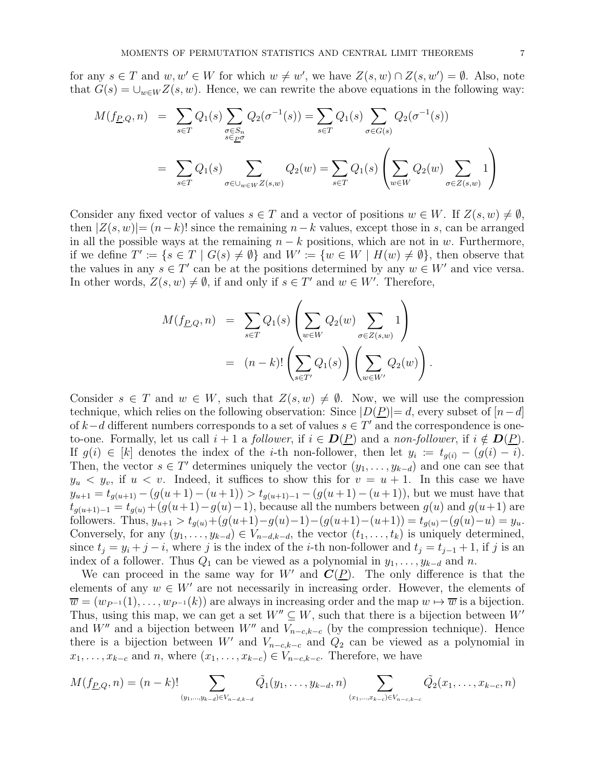for any  $s \in T$  and  $w, w' \in W$  for which  $w \neq w'$ , we have  $Z(s, w) \cap Z(s, w') = \emptyset$ . Also, note that  $G(s) = \bigcup_{w \in W} Z(s, w)$ . Hence, we can rewrite the above equations in the following way:

$$
M(f_{\underline{P},Q},n) = \sum_{s \in T} Q_1(s) \sum_{\substack{\sigma \in S_n \\ s \in \underline{P}^{\sigma}}} Q_2(\sigma^{-1}(s)) = \sum_{s \in T} Q_1(s) \sum_{\sigma \in G(s)} Q_2(\sigma^{-1}(s))
$$
  

$$
= \sum_{s \in T} Q_1(s) \sum_{\sigma \in \bigcup_{w \in W} Z(s,w)} Q_2(w) = \sum_{s \in T} Q_1(s) \left( \sum_{w \in W} Q_2(w) \sum_{\sigma \in Z(s,w)} 1 \right)
$$

Consider any fixed vector of values  $s \in T$  and a vector of positions  $w \in W$ . If  $Z(s, w) \neq \emptyset$ , then  $|Z(s, w)| = (n-k)!$  since the remaining  $n-k$  values, except those in s, can be arranged in all the possible ways at the remaining  $n - k$  positions, which are not in w. Furthermore, if we define  $T' := \{ s \in T \mid G(s) \neq \emptyset \}$  and  $W' := \{ w \in W \mid H(w) \neq \emptyset \}$ , then observe that the values in any  $s \in T'$  can be at the positions determined by any  $w \in W'$  and vice versa. In other words,  $Z(s, w) \neq \emptyset$ , if and only if  $s \in T'$  and  $w \in W'$ . Therefore,

$$
M(f_{\underline{P},Q},n) = \sum_{s \in T} Q_1(s) \left( \sum_{w \in W} Q_2(w) \sum_{\sigma \in Z(s,w)} 1 \right)
$$
  
= 
$$
(n-k)! \left( \sum_{s \in T'} Q_1(s) \right) \left( \sum_{w \in W'} Q_2(w) \right).
$$

Consider  $s \in T$  and  $w \in W$ , such that  $Z(s, w) \neq \emptyset$ . Now, we will use the compression technique, which relies on the following observation: Since  $|D(P)|=d$ , every subset of  $[n-d]$ of  $k-d$  different numbers corresponds to a set of values  $s \in T'$  and the correspondence is oneto-one. Formally, let us call  $i + 1$  a follower, if  $i \in \mathcal{D}(P)$  and a non-follower, if  $i \notin \mathcal{D}(P)$ . If  $g(i) \in [k]$  denotes the index of the *i*-th non-follower, then let  $y_i := t_{g(i)} - (g(i) - i)$ . Then, the vector  $s \in T'$  determines uniquely the vector  $(y_1, \ldots, y_{k-d})$  and one can see that  $y_u < y_v$ , if  $u < v$ . Indeed, it suffices to show this for  $v = u + 1$ . In this case we have  $y_{u+1} = t_{g(u+1)} - (g(u+1) - (u+1)) > t_{g(u+1)-1} - (g(u+1) - (u+1)),$  but we must have that  $t_{g(u+1)-1} = t_{g(u)} + (g(u+1)-g(u)-1)$ , because all the numbers between  $g(u)$  and  $g(u+1)$  are followers. Thus,  $y_{u+1} > t_{g(u)}+(g(u+1)-g(u)-1)-(g(u+1)-(u+1)) = t_{g(u)}-(g(u)-u) = y_u$ . Conversely, for any  $(y_1, \ldots, y_{k-d}) \in V_{n-d,k-d}$ , the vector  $(t_1, \ldots, t_k)$  is uniquely determined, since  $t_j = y_i + j - i$ , where j is the index of the i-th non-follower and  $t_j = t_{j-1} + 1$ , if j is an index of a follower. Thus  $Q_1$  can be viewed as a polynomial in  $y_1, \ldots, y_{k-d}$  and n.

We can proceed in the same way for W' and  $\mathcal{C}(\underline{P})$ . The only difference is that the elements of any  $w \in W'$  are not necessarily in increasing order. However, the elements of  $\overline{w} = (w_{P^{-1}}(1), \ldots, w_{P^{-1}}(k))$  are always in increasing order and the map  $w \mapsto \overline{w}$  is a bijection. Thus, using this map, we can get a set  $W'' \subseteq W$ , such that there is a bijection between  $W'$ and W'' and a bijection between W'' and  $V_{n-c,k-c}$  (by the compression technique). Hence there is a bijection between W' and  $V_{n-c,k-c}$  and  $Q_2$  can be viewed as a polynomial in  $x_1, \ldots, x_{k-c}$  and n, where  $(x_1, \ldots, x_{k-c}) \in V_{n-c,k-c}$ . Therefore, we have

$$
M(f_{\underline{P},Q},n) = (n-k)! \sum_{(y_1,\ldots,y_{k-d}) \in V_{n-d,k-d}} \tilde{Q}_1(y_1,\ldots,y_{k-d},n) \sum_{(x_1,\ldots,x_{k-c}) \in V_{n-c,k-c}} \tilde{Q}_2(x_1,\ldots,x_{k-c},n)
$$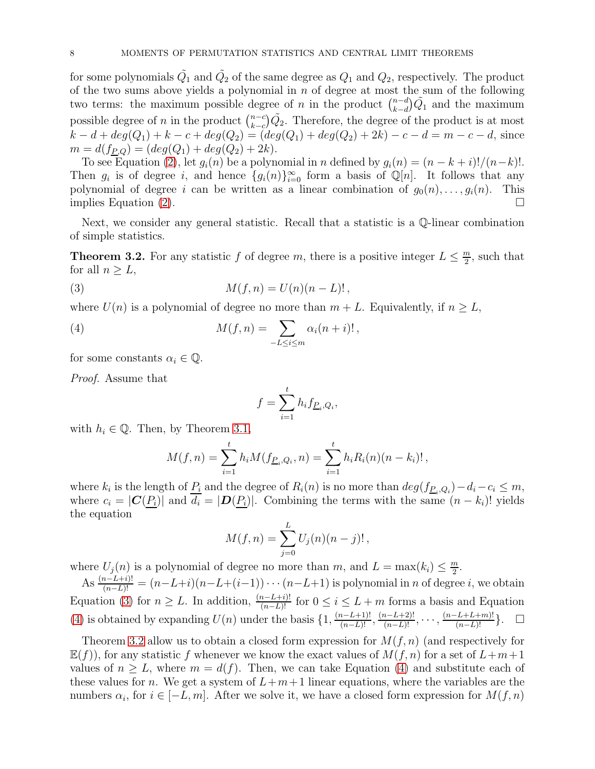for some polynomials  $\tilde{Q_1}$  and  $\tilde{Q_2}$  of the same degree as  $Q_1$  and  $Q_2$ , respectively. The product of the two sums above yields a polynomial in  $n$  of degree at most the sum of the following two terms: the maximum possible degree of n in the product  $\binom{n-d}{k-d}$  $_{k-d}^{n-d}$ ) $\tilde{Q_1}$  and the maximum possible degree of *n* in the product  $\binom{n-c}{k-c}$  ${}_{k-c}^{n-c}$   $\tilde{Q_2}$ . Therefore, the degree of the product is at most  $k - d + deg(Q_1) + k - c + deg(Q_2) = (deg(Q_1) + deg(Q_2) + 2k) - c - d = m - c - d$ , since  $m = d(f_{P,Q}) = (deg(Q_1) + deg(Q_2) + 2k).$ 

To see Equation [\(2\)](#page-5-1), let  $g_i(n)$  be a polynomial in n defined by  $g_i(n) = (n - k + i)!/(n - k)!$ . Then  $g_i$  is of degree i, and hence  $\{g_i(n)\}_{i=0}^{\infty}$  form a basis of  $\mathbb{Q}[n]$ . It follows that any polynomial of degree i can be written as a linear combination of  $g_0(n), \ldots, g_i(n)$ . This implies Equation [\(2\)](#page-5-1).  $\Box$ 

Next, we consider any general statistic. Recall that a statistic is a Q-linear combination of simple statistics.

<span id="page-7-2"></span>**Theorem 3.2.** For any statistic f of degree m, there is a positive integer  $L \leq \frac{m}{2}$  $\frac{m}{2}$ , such that for all  $n \geq L$ ,

(3) 
$$
M(f, n) = U(n)(n - L)!,
$$

where  $U(n)$  is a polynomial of degree no more than  $m + L$ . Equivalently, if  $n \geq L$ ,

(4) 
$$
M(f,n) = \sum_{-L \leq i \leq m} \alpha_i (n+i)!,
$$

for some constants  $\alpha_i \in \mathbb{Q}$ .

Proof. Assume that

<span id="page-7-1"></span><span id="page-7-0"></span>
$$
f = \sum_{i=1}^{t} h_i f_{\underline{P}_i, Q_i},
$$

with  $h_i \in \mathbb{Q}$ . Then, by Theorem [3.1,](#page-5-2)

$$
M(f, n) = \sum_{i=1}^{t} h_i M(f_{\underline{P}_i, Q_i}, n) = \sum_{i=1}^{t} h_i R_i(n) (n - k_i)!,
$$

where  $k_i$  is the length of  $P_i$  and the degree of  $R_i(n)$  is no more than  $deg(f_{P_i,Q_i}) - d_i - c_i \leq m$ , where  $c_i = |C(P_i)|$  and  $d_i = |D(P_i)|$ . Combining the terms with the same  $(n - k_i)!$  yields the equation

$$
M(f, n) = \sum_{j=0}^{L} U_j(n)(n-j)!,
$$

where  $U_j(n)$  is a polynomial of degree no more than m, and  $L = \max(k_i) \leq \frac{m}{2}$  $\frac{n}{2}$ .

 $\text{As } \frac{(n-L+i)!}{(n-L)!} = (n-L+i)(n-L+(i-1))\cdots(n-L+1)$  is polynomial in n of degree i, we obtain Equation [\(3\)](#page-7-0) for  $n \geq L$ . In addition,  $\frac{(n-L+i)!}{(n-L)!}$  for  $0 \leq i \leq L+m$  forms a basis and Equation [\(4\)](#page-7-1) is obtained by expanding  $U(n)$  under the basis  $\{1, \frac{(n-L+1)!}{(n-L)!}, \frac{(n-L+2)!}{(n-L)!}, \cdots, \frac{(n-L+L+m)!}{(n-L)!}\}$ . □

Theorem [3.2](#page-7-2) allow us to obtain a closed form expression for  $M(f, n)$  (and respectively for  $E(f)$ , for any statistic f whenever we know the exact values of  $M(f, n)$  for a set of  $L+m+1$ values of  $n \geq L$ , where  $m = d(f)$ . Then, we can take Equation [\(4\)](#page-7-1) and substitute each of these values for n. We get a system of  $L+m+1$  linear equations, where the variables are the numbers  $\alpha_i$ , for  $i \in [-L, m]$ . After we solve it, we have a closed form expression for  $M(f, n)$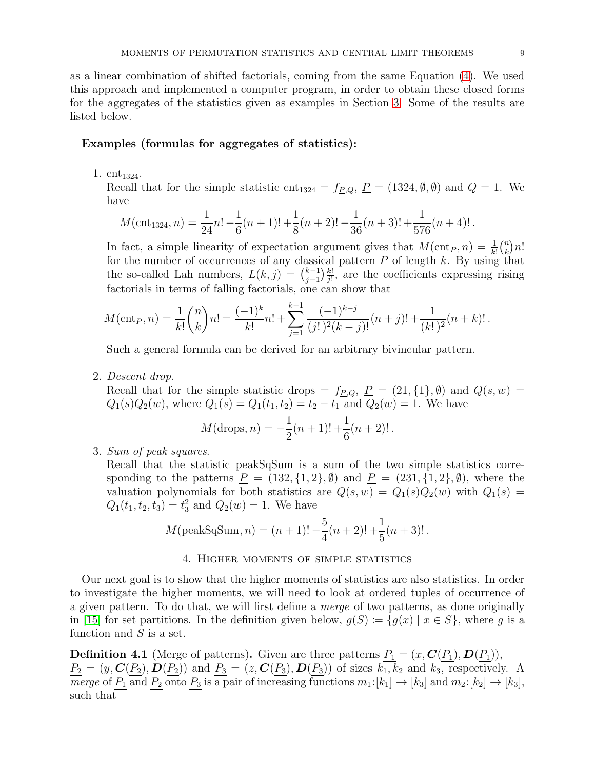as a linear combination of shifted factorials, coming from the same Equation [\(4\)](#page-7-1). We used this approach and implemented a computer program, in order to obtain these closed forms for the aggregates of the statistics given as examples in Section [3.](#page-5-0) Some of the results are listed below.

#### Examples (formulas for aggregates of statistics):

1.  $\text{cnt}_{1324}$ .

Recall that for the simple statistic cnt<sub>1324</sub> =  $f_{P,Q}$ ,  $\underline{P} = (1324, \emptyset, \emptyset)$  and  $Q = 1$ . We have

$$
M(\text{cnt}_{1324}, n) = \frac{1}{24}n! - \frac{1}{6}(n+1)! + \frac{1}{8}(n+2)! - \frac{1}{36}(n+3)! + \frac{1}{576}(n+4)!.
$$

In fact, a simple linearity of expectation argument gives that  $M(\text{cnt}_P, n) = \frac{1}{k!} {n \choose k}$  $\binom{n}{k}n!$ for the number of occurrences of any classical pattern  $P$  of length  $k$ . By using that the so-called Lah numbers,  $L(k, j) = \binom{k-1}{j-1}$  $_{j-1}^{k-1}$ ) $_{j!}^{k!}$  $\frac{k!}{j!}$ , are the coefficients expressing rising factorials in terms of falling factorials, one can show that

$$
M(\text{cnt}_P, n) = \frac{1}{k!} \binom{n}{k} n! = \frac{(-1)^k}{k!} n! + \sum_{j=1}^{k-1} \frac{(-1)^{k-j}}{(j!)^2 (k-j)!} (n+j)! + \frac{1}{(k!)^2} (n+k)!.
$$

Such a general formula can be derived for an arbitrary bivincular pattern.

2. Descent drop.

Recall that for the simple statistic drops =  $f_{P,Q}$ ,  $\underline{P} = (21, {1}, \emptyset)$  and  $Q(s, w)$  =  $Q_1(s)Q_2(w)$ , where  $Q_1(s) = Q_1(t_1, t_2) = t_2 - t_1$  and  $Q_2(w) = 1$ . We have

$$
M(\text{drops}, n) = -\frac{1}{2}(n+1)! + \frac{1}{6}(n+2)!.
$$

3. Sum of peak squares.

Recall that the statistic peakSqSum is a sum of the two simple statistics corresponding to the patterns  $\underline{P} = (132, \{1, 2\}, \emptyset)$  and  $\underline{P} = (231, \{1, 2\}, \emptyset)$ , where the valuation polynomials for both statistics are  $Q(s, w) = Q_1(s)Q_2(w)$  with  $Q_1(s) =$  $Q_1(t_1, t_2, t_3) = t_3^2$  and  $Q_2(w) = 1$ . We have

$$
M(\text{peakSqSum}, n) = (n+1)! - \frac{5}{4}(n+2)! + \frac{1}{5}(n+3)!
$$
.

#### 4. Higher moments of simple statistics

<span id="page-8-0"></span>Our next goal is to show that the higher moments of statistics are also statistics. In order to investigate the higher moments, we will need to look at ordered tuples of occurrence of a given pattern. To do that, we will first define a merge of two patterns, as done originally in [\[15\]](#page-24-3) for set partitions. In the definition given below,  $q(S) := \{q(x) | x \in S\}$ , where q is a function and  $S$  is a set.

<span id="page-8-1"></span>**Definition 4.1** (Merge of patterns). Given are three patterns  $P_1 = (x, C(P_1), D(P_1)),$  $P_2 = (y, C(P_2), D(P_2))$  and  $P_3 = (z, C(P_3), D(P_3))$  of sizes  $k_1, k_2$  and  $k_3$ , respectively. A merge of  $\underline{P_1}$  and  $\underline{P_2}$  onto  $\underline{P_3}$  is a pair of increasing functions  $m_1:[k_1] \to [k_3]$  and  $m_2:[k_2] \to [k_3]$ , such that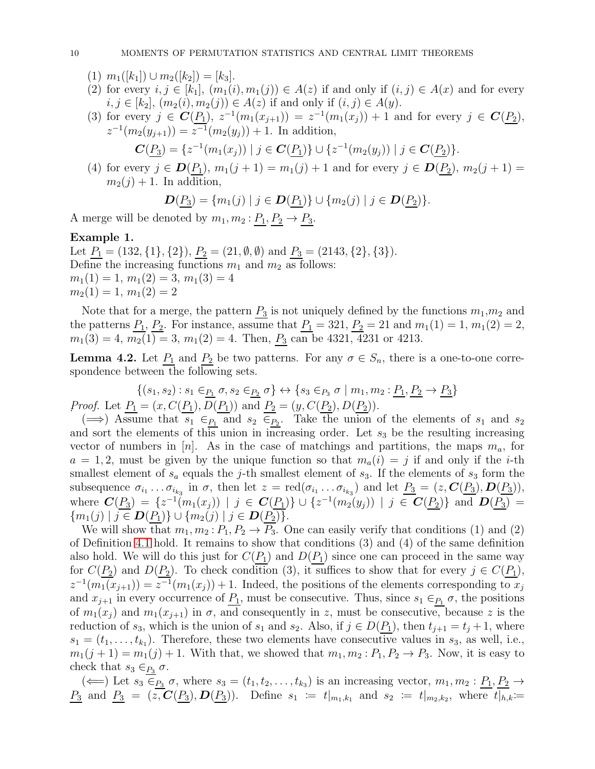- (1)  $m_1([k_1]) \cup m_2([k_2]) = [k_3]$ .
- (2) for every  $i, j \in [k_1]$ ,  $(m_1(i), m_1(j)) \in A(z)$  if and only if  $(i, j) \in A(x)$  and for every  $i, j \in [k_2], (m_2(i), m_2(j)) \in A(z)$  if and only if  $(i, j) \in A(y)$ .
- (3) for every  $j \in \mathbb{C}(\underline{P_1})$ ,  $z^{-1}(m_1(x_{j+1})) = z^{-1}(m_1(x_j)) + 1$  and for every  $j \in \mathbb{C}(\underline{P_2})$ ,  $z^{-1}(m_2(y_{j+1})) = z^{-1}(m_2(y_j)) + 1$ . In addition,  $\mathbf{C}(\underline{P_3}) = \{z^{-1}(m_1(x_j)) \mid j \in \mathbf{C}(\underline{P_1})\} \cup \{z^{-1}(m_2(y_j)) \mid j \in \mathbf{C}(\underline{P_2})\}.$
- (4) for every  $j \in \mathbf{D}(P_1)$ ,  $m_1(j + 1) = m_1(j) + 1$  and for every  $j \in \mathbf{D}(P_2)$ ,  $m_2(j + 1) =$  $m_2(j) + 1$ . In addition,

$$
\mathbf{D}(\underline{P_3}) = \{m_1(j) \mid j \in \mathbf{D}(\underline{P_1})\} \cup \{m_2(j) \mid j \in \mathbf{D}(\underline{P_2})\}.
$$

A merge will be denoted by  $m_1, m_2 : P_1, P_2 \rightarrow P_3$ .

### Example 1.

Let  $P_1 = (132, \{1\}, \{2\}), P_2 = (21, \emptyset, \emptyset)$  and  $P_3 = (2143, \{2\}, \{3\}).$ Define the increasing functions  $m_1$  and  $m_2$  as follows:  $m_1(1) = 1, m_1(2) = 3, m_1(3) = 4$  $m_2(1) = 1, m_1(2) = 2$ 

Note that for a merge, the pattern  $P_3$  is not uniquely defined by the functions  $m_1,m_2$  and the patterns  $P_1$ ,  $P_2$ . For instance, assume that  $P_1 = 321$ ,  $P_2 = 21$  and  $m_1(1) = 1$ ,  $m_1(2) = 2$ ,  $m_1(3) = 4, m_2(1) = 3, m_1(2) = 4.$  Then,  $P_3$  can be 4321, 4231 or 4213.

<span id="page-9-0"></span>**Lemma 4.2.** Let  $P_1$  and  $P_2$  be two patterns. For any  $\sigma \in S_n$ , there is a one-to-one correspondence between the following sets.

$$
\{(s_1, s_2) : s_1 \in_{P_1} \sigma, s_2 \in_{P_2} \sigma\} \leftrightarrow \{s_3 \in_{P_3} \sigma \mid m_1, m_2 : \underline{P_1}, \underline{P_2} \to \underline{P_3}\}
$$
  
*Proof.* Let  $\underline{P_1} = (x, C(\underline{P_1}), D(\underline{P_1}))$  and  $\underline{P_2} = (y, C(\underline{P_2}), D(\underline{P_2})).$ 

 $(\Longrightarrow)$  Assume that  $s_1 \in_{P_1}$  and  $s_2 \in_{P_2}$ . Take the union of the elements of  $s_1$  and  $s_2$ and sort the elements of this union in increasing order. Let  $s<sub>3</sub>$  be the resulting increasing vector of numbers in |n|. As in the case of matchings and partitions, the maps  $m_a$ , for  $a = 1, 2$ , must be given by the unique function so that  $m_a(i) = j$  if and only if the *i*-th smallest element of  $s_a$  equals the j-th smallest element of  $s_3$ . If the elements of  $s_3$  form the subsequence  $\sigma_{i_1} \dots \sigma_{i_{k_3}}$  in  $\sigma$ , then let  $z = \text{red}(\sigma_{i_1} \dots \sigma_{i_{k_3}})$  and let  $\underline{P_3} = (z, \mathcal{C}(\underline{P_3}), \mathcal{D}(\underline{P_3}))$ , where  $C(\underline{P_3}) = \{z^{-1}(m_1(x_j)) | j \in C(\underline{P_1})\} \cup \{z^{-1}(m_2(y_j)) | j \in C(\underline{P_2})\}$  and  $D(\underline{P_3}) =$  ${m_1(j) | j \in \mathbf{D}(P_1)} \cup {m_2(j) | j \in \mathbf{D}(P_2)}.$ 

We will show that  $m_1, m_2 : P_1, P_2 \to P_3$ . One can easily verify that conditions (1) and (2) of Definition [4.1](#page-8-1) hold. It remains to show that conditions (3) and (4) of the same definition also hold. We will do this just for  $C(P_1)$  and  $D(P_1)$  since one can proceed in the same way for  $C(P_2)$  and  $D(P_2)$ . To check condition (3), it suffices to show that for every  $j \in C(P_1)$ ,  $z^{-1}(m_1(x_{j+1})) = z^{-1}(m_1(x_j)) + 1$ . Indeed, the positions of the elements corresponding to  $x_j$ and  $x_{j+1}$  in every occurrence of  $P_1$ , must be consecutive. Thus, since  $s_1 \in_{P_1} \sigma$ , the positions of  $m_1(x_j)$  and  $m_1(x_{j+1})$  in  $\sigma$ , and consequently in z, must be consecutive, because z is the reduction of  $s_3$ , which is the union of  $s_1$  and  $s_2$ . Also, if  $j \in D(P_1)$ , then  $t_{j+1} = t_j + 1$ , where  $s_1 = (t_1, \ldots, t_{k_1})$ . Therefore, these two elements have consecutive values in  $s_3$ , as well, i.e.,  $m_1(j+1) = m_1(j) + 1$ . With that, we showed that  $m_1, m_2 : P_1, P_2 \rightarrow P_3$ . Now, it is easy to check that  $s_3 \in_{P_3} \sigma$ .

( $\Longleftarrow$ ) Let  $s_3 \in_{P_3} \sigma$ , where  $s_3 = (t_1, t_2, \ldots, t_{k_3})$  is an increasing vector,  $m_1, m_2 : P_1, P_2 \rightarrow$  $P_3$  and  $P_3 = (z, \mathbf{C}(P_3), \mathbf{D}(P_3))$ . Define  $s_1 := t|_{m_1,k_1}$  and  $s_2 := t|_{m_2,k_2}$ , where  $t|_{h,k} =$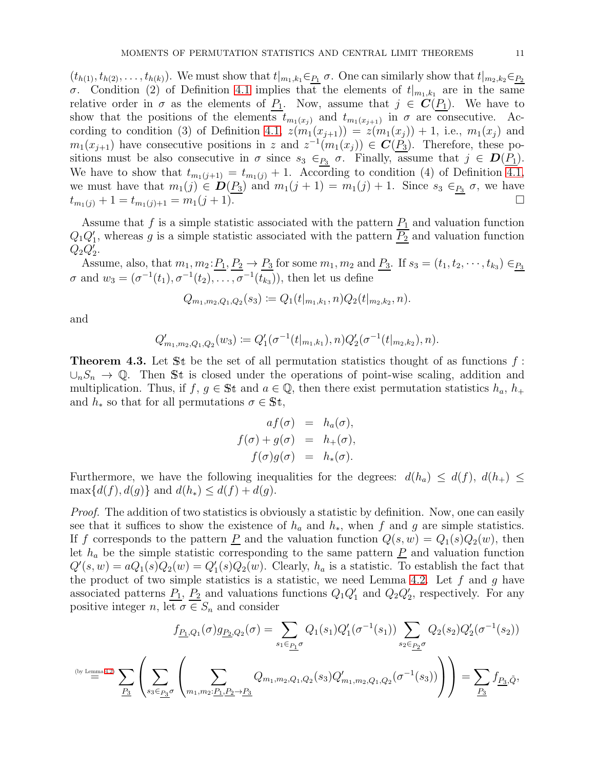$(t_{h(1)}, t_{h(2)}, \ldots, t_{h(k)})$ . We must show that  $t|_{m_1,k_1} \in P_1$   $\sigma$ . One can similarly show that  $t|_{m_2,k_2} \in P_2$ σ. Condition (2) of Definition [4.1](#page-8-1) implies that the elements of  $t|_{m_1,k_1}$  are in the same relative order in  $\sigma$  as the elements of  $P_1$ . Now, assume that  $j \in \mathbf{C}(P_1)$ . We have to show that the positions of the elements  $t_{m_1(x_j)}$  and  $t_{m_1(x_{j+1})}$  in  $\sigma$  are consecutive. Ac-cording to condition (3) of Definition [4.1,](#page-8-1)  $z(m_1(x_{j+1})) = z(m_1(x_j)) + 1$ , i.e.,  $m_1(x_j)$  and  $m_1(x_{j+1})$  have consecutive positions in z and  $z^{-1}(m_1(x_j)) \in C(\underline{P_3})$ . Therefore, these positions must be also consecutive in  $\sigma$  since  $s_3 \in_{P_3} \sigma$ . Finally, assume that  $j \in \mathbf{D}(P_1)$ .

We have to show that  $t_{m_1(j+1)} = t_{m_1(j)} + 1$ . According to condition (4) of Definition [4.1,](#page-8-1) we must have that  $m_1(j) \in \mathbf{D}(P_3)$  and  $m_1(j + 1) = m_1(j) + 1$ . Since  $s_3 \in_{P_3} \sigma$ , we have  $t_{m_1(i)} + 1 = t_{m_1(i)+1} = m_1(j+1)$ .  $t_{m_1(j)} + 1 = t_{m_1(j)+1} = m_1(j+1).$ 

Assume that f is a simple statistic associated with the pattern  $P_1$  and valuation function  $Q_1Q'_1$ , whereas g is a simple statistic associated with the pattern  $\overline{P_2}$  and valuation function  $Q_2Q'_2$ .

Assume, also, that  $m_1, m_2: \underline{P_1}, \underline{P_2} \to \underline{P_3}$  for some  $m_1, m_2$  and  $\underline{P_3}$ . If  $s_3 = (t_1, t_2, \dots, t_{k_3}) \in \underline{P_3}$ *σ* and *w*<sub>3</sub> = (*σ*<sup>-1</sup>(*t*<sub>1</sub>), *σ*<sup>-1</sup>(*t*<sub>2</sub>), . . . , *σ*<sup>-1</sup>(*t*<sub>*k*<sub>3</sub></sub>)), then let us define

$$
Q_{m_1,m_2,Q_1,Q_2}(s_3) := Q_1(t|_{m_1,k_1},n)Q_2(t|_{m_2,k_2},n).
$$

and

$$
Q'_{m_1,m_2,Q_1,Q_2}(w_3) := Q'_1(\sigma^{-1}(t|_{m_1,k_1}),n)Q'_2(\sigma^{-1}(t|_{m_2,k_2}),n).
$$

**Theorem 4.3.** Let  $\mathbb{S}^t$  be the set of all permutation statistics thought of as functions  $f$ :  $\cup_n S_n \to \mathbb{Q}$ . Then St is closed under the operations of point-wise scaling, addition and multiplication. Thus, if  $f, g \in \mathbb{S}$ t and  $a \in \mathbb{Q}$ , then there exist permutation statistics  $h_a, h_+$ and  $h_*$  so that for all permutations  $\sigma \in \mathbb{S}$ t,

$$
af(\sigma) = h_a(\sigma),
$$
  
\n
$$
f(\sigma) + g(\sigma) = h_{+}(\sigma),
$$
  
\n
$$
f(\sigma)g(\sigma) = h_{*}(\sigma).
$$

Furthermore, we have the following inequalities for the degrees:  $d(h_a) \leq d(f)$ ,  $d(h_{+}) \leq$  $\max\{d(f), d(g)\}\$ and  $d(h_*) \leq d(f) + d(g)$ .

Proof. The addition of two statistics is obviously a statistic by definition. Now, one can easily see that it suffices to show the existence of  $h_a$  and  $h_*$ , when f and g are simple statistics. If f corresponds to the pattern P and the valuation function  $Q(s, w) = Q_1(s)Q_2(w)$ , then let  $h_a$  be the simple statistic corresponding to the same pattern  $\underline{P}$  and valuation function  $Q'(s, w) = aQ_1(s)Q_2(w) = Q'_1(s)Q_2(w)$ . Clearly,  $h_a$  is a statistic. To establish the fact that the product of two simple statistics is a statistic, we need Lemma [4.2.](#page-9-0) Let  $f$  and  $g$  have associated patterns  $\underline{P_1}$ ,  $\underline{P_2}$  and valuations functions  $Q_1Q'_1$  and  $Q_2Q'_2$ , respectively. For any positive integer n, let  $\sigma \in S_n$  and consider

$$
f_{\underline{P_1},Q_1}(\sigma)g_{\underline{P_2},Q_2}(\sigma) = \sum_{s_1 \in \underline{P_1}} Q_1(s_1)Q_1'(\sigma^{-1}(s_1)) \sum_{s_2 \in \underline{P_2}\sigma} Q_2(s_2)Q_2'(\sigma^{-1}(s_2))
$$
  
\n
$$
\sum_{\underline{P_3}} \left( \sum_{s_3 \in \underline{P_3}\sigma} \left( \sum_{m_1,m_2:\underline{P_1},\underline{P_2} \to \underline{P_3}} Q_{m_1,m_2,Q_1,Q_2}(s_3)Q_{m_1,m_2,Q_1,Q_2}'(\sigma^{-1}(s_3)) \right) \right) = \sum_{\underline{P_3}} f_{\underline{P_3},\bar{Q}},
$$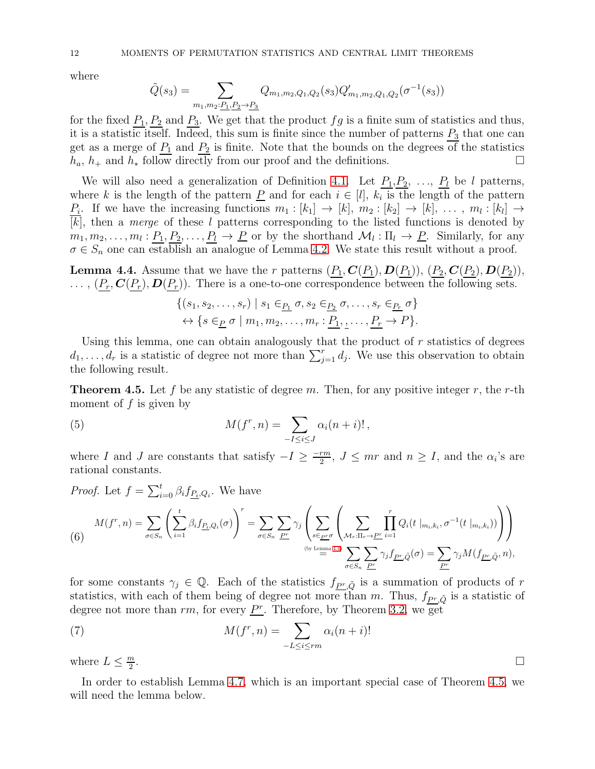where

$$
\tilde{Q}(s_3) = \sum_{m_1, m_2: P_1, P_2 \to P_3} Q_{m_1, m_2, Q_1, Q_2}(s_3) Q'_{m_1, m_2, Q_1, Q_2}(\sigma^{-1}(s_3))
$$

for the fixed  $P_1, P_2$  and  $P_3$ . We get that the product  $fg$  is a finite sum of statistics and thus, it is a statistic itself. Indeed, this sum is finite since the number of patterns  $P_3$  that one can get as a merge of  $P_1$  and  $P_2$  is finite. Note that the bounds on the degrees of the statistics  $h_a$ ,  $h_+$  and  $h_*$  follow directly from our proof and the definitions.

We will also need a generalization of Definition [4.1.](#page-8-1) Let  $P_1, P_2, \ldots, P_l$  be l patterns, where k is the length of the pattern  $\underline{P}$  and for each  $i \in [l]$ ,  $k_i$  is the length of the pattern  $P_i$ . If we have the increasing functions  $m_1 : [k_1] \to [k], m_2 : [k_2] \to [k], \ldots, m_l : [k_l] \to \overline{m}_l$  $\overline{k}$ , then a *merge* of these l patterns corresponding to the listed functions is denoted by  $m_1, m_2, \ldots, m_l: \underline{P_1}, \underline{P_2}, \ldots, \underline{P_l} \to \underline{P}$  or by the shorthand  $\mathcal{M}_l: \Pi_l \to \underline{P}$ . Similarly, for any  $\sigma \in S_n$  one can establish an analogue of Lemma [4.2.](#page-9-0) We state this result without a proof.

<span id="page-11-1"></span>**Lemma 4.4.** Assume that we have the r patterns  $(P_1, C(P_1), D(P_1)), (P_2, C(P_2), D(P_2)),$  $\ldots$ ,  $(P_r, \mathbf{C}(P_r), \mathbf{D}(P_r))$ . There is a one-to-one correspondence between the following sets.

$$
\{(s_1, s_2, \dots, s_r) \mid s_1 \in_{\underline{P_1}} \sigma, s_2 \in_{\underline{P_2}} \sigma, \dots, s_r \in_{\underline{P_r}} \sigma\}
$$
  

$$
\leftrightarrow \{s \in_{\underline{P}} \sigma \mid m_1, m_2, \dots, m_r : \underline{P_1}, \dots, \underline{P_r} \to P\}.
$$

Using this lemma, one can obtain analogously that the product of  $r$  statistics of degrees  $d_1, \ldots, d_r$  is a statistic of degree not more than  $\sum_{j=1}^r d_j$ . We use this observation to obtain the following result.

<span id="page-11-0"></span>**Theorem 4.5.** Let f be any statistic of degree m. Then, for any positive integer r, the r-th moment of  $f$  is given by

(5) 
$$
M(f^r, n) = \sum_{-I \leq i \leq J} \alpha_i (n+i)!,
$$

where I and J are constants that satisfy  $-I \geq \frac{-rm}{2}$  $\frac{rm}{2}$ ,  $J \leq mr$  and  $n \geq I$ , and the  $\alpha_i$ 's are rational constants.

*Proof.* Let  $f = \sum_{i=0}^{t} \beta_i f_{\underline{P_i}, Q_i}$ . We have

<span id="page-11-2"></span>
$$
(6) \qquad M(f^r, n) = \sum_{\sigma \in S_n} \left( \sum_{i=1}^t \beta_i f_{\underline{P_i}, Q_i}(\sigma) \right)^r = \sum_{\sigma \in S_n} \sum_{\underline{P^r}} \gamma_j \left( \sum_{\substack{s \in \underline{P^r} \\ s \equiv i}} \left( \sum_{\substack{\mathcal{M}_r: \Pi_r \to \underline{P^r} \\ \text{by Lemma 4.4}}} \prod_{i=1}^r Q_i(t \mid_{m_i, k_i}, \sigma^{-1}(t \mid_{m_i, k_i})) \right) \right)
$$
\n
$$
(by \text{ Lemma 4.4}) \sum_{\sigma \in S_n} \sum_{\underline{P^r}} \gamma_j f_{\underline{P^r}, \tilde{Q}}(\sigma) = \sum_{\underline{P^r}} \gamma_j M(f_{\underline{P^r}, \tilde{Q}}, n),
$$

for some constants  $\gamma_j \in \mathbb{Q}$ . Each of the statistics  $f_{\underline{P^r},\tilde{Q}}$  is a summation of products of r statistics, with each of them being of degree not more than m. Thus,  $f_{P^r, \tilde{Q}}$  is a statistic of degree not more than  $rm$ , for every  $\underline{P^r}$ . Therefore, by Theorem [3.2,](#page-7-2) we get

<span id="page-11-3"></span>(7) 
$$
M(f^r, n) = \sum_{-L \leq i \leq rm} \alpha_i (n+i)!
$$
  
where  $L \leq \frac{m}{2}$ .

where  $L \leq \frac{m}{2}$ 2

In order to establish Lemma [4.7,](#page-12-0) which is an important special case of Theorem [4.5,](#page-11-0) we will need the lemma below.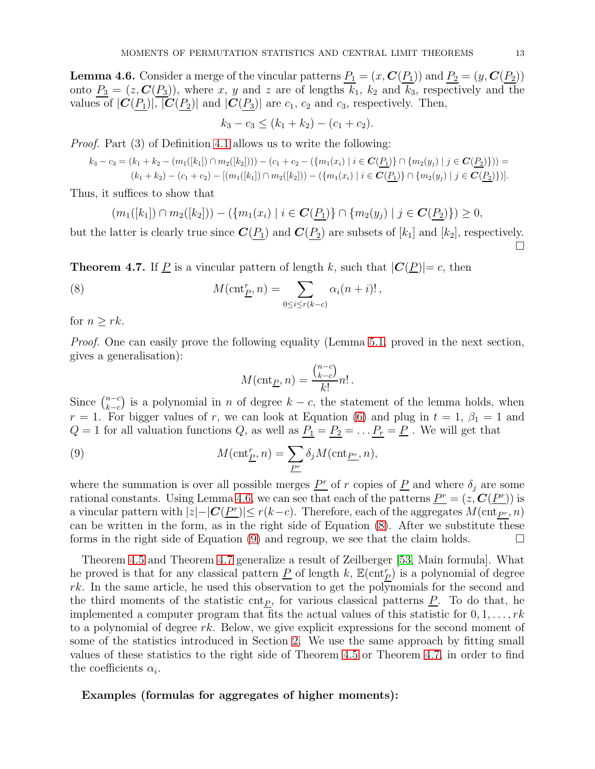<span id="page-12-1"></span>**Lemma 4.6.** Consider a merge of the vincular patterns  $P_1 = (x, C(P_1))$  and  $P_2 = (y, C(P_2))$ onto  $P_3 = (z, \mathbf{C}(P_3))$ , where x, y and z are of lengths  $k_1$ ,  $k_2$  and  $k_3$ , respectively and the values of  $|\mathbf{C}(P_1)|$ ,  $|\mathbf{C}(P_2)|$  and  $|\mathbf{C}(P_3)|$  are  $c_1$ ,  $c_2$  and  $c_3$ , respectively. Then,

$$
k_3 - c_3 \le (k_1 + k_2) - (c_1 + c_2).
$$

Proof. Part (3) of Definition [4.1](#page-8-1) allows us to write the following:

$$
k_3 - c_3 = (k_1 + k_2 - (m_1([k_1]) \cap m_2([k_2]))) - (c_1 + c_2 - (\{m_1(x_i) \mid i \in \mathbf{C}(\underline{P_1})\} \cap \{m_2(y_j) \mid j \in \mathbf{C}(\underline{P_2})\})) = (k_1 + k_2) - (c_1 + c_2) - [(m_1([k_1]) \cap m_2([k_2])) - (\{m_1(x_i) \mid i \in \mathbf{C}(\underline{P_1})\} \cap \{m_2(y_j) \mid j \in \mathbf{C}(\underline{P_2})\})].
$$

Thus, it suffices to show that

$$
(m_1([k_1]) \cap m_2([k_2])) - (\{m_1(x_i) \mid i \in \mathbf{C}(\underline{P_1})\} \cap \{m_2(y_j) \mid j \in \mathbf{C}(\underline{P_2})\}) \ge 0,
$$

but the latter is clearly true since  $C(P_1)$  and  $C(P_2)$  are subsets of [k<sub>1</sub>] and [k<sub>2</sub>], respectively.  $\Box$ 

<span id="page-12-0"></span>**Theorem 4.7.** If P is a vincular pattern of length k, such that  $|C(P)|=c$ , then

(8) 
$$
M(\text{cnt}_{\underline{P}}^r, n) = \sum_{0 \le i \le r(k-c)} \alpha_i (n+i)!,
$$

for  $n \geq rk$ .

Proof. One can easily prove the following equality (Lemma [5.1,](#page-13-1) proved in the next section, gives a generalisation):

<span id="page-12-3"></span><span id="page-12-2"></span>
$$
M(\text{cnt}_{\underline{P}}, n) = \frac{\binom{n-c}{k-c}}{k!}n!.
$$

Since  $\binom{n-c}{k-c}$  $_{k-c}^{n-c}$ ) is a polynomial in n of degree  $k - c$ , the statement of the lemma holds, when  $r = 1$ . For bigger values of r, we can look at Equation [\(6\)](#page-11-2) and plug in  $t = 1$ ,  $\beta_1 = 1$  and  $Q = 1$  for all valuation functions  $Q$ , as well as  $P_1 = P_2 = \dots P_r = P$ . We will get that

(9) 
$$
M(\text{cnt}_{\underline{P}}^r, n) = \sum_{\underline{P^r}} \delta_j M(\text{cnt}_{\underline{P^r}}, n),
$$

where the summation is over all possible merges  $\underline{P^r}$  of r copies of  $\underline{P}$  and where  $\delta_j$  are some rational constants. Using Lemma [4.6,](#page-12-1) we can see that each of the patterns  $P^r = (z, \mathbf{C}(P^r))$  is a vincular pattern with  $|z| - |C(P^r)| \le r(k-c)$ . Therefore, each of the aggregates  $M(\text{cnt}_{P^r}, n)$ can be written in the form, as in the right side of Equation [\(8\)](#page-12-2). After we substitute these forms in the right side of Equation [\(9\)](#page-12-3) and regroup, we see that the claim holds.  $\square$ 

Theorem [4.5](#page-11-0) and Theorem [4.7](#page-12-0) generalize a result of Zeilberger [\[53,](#page-26-0) Main formula]. What he proved is that for any classical pattern  $\underline{P}$  of length  $k$ ,  $\mathbb{E}(\text{cnt}_{\underline{P}}^{r})$  is a polynomial of degree rk. In the same article, he used this observation to get the polynomials for the second and the third moments of the statistic cnt<sub>P</sub>, for various classical patterns  $\underline{P}$ . To do that, he implemented a computer program that fits the actual values of this statistic for  $0, 1, \ldots, rk$ to a polynomial of degree  $rk$ . Below, we give explicit expressions for the second moment of some of the statistics introduced in Section [2.](#page-2-0) We use the same approach by fitting small values of these statistics to the right side of Theorem [4.5](#page-11-0) or Theorem [4.7,](#page-12-0) in order to find the coefficients  $\alpha_i$ .

### Examples (formulas for aggregates of higher moments):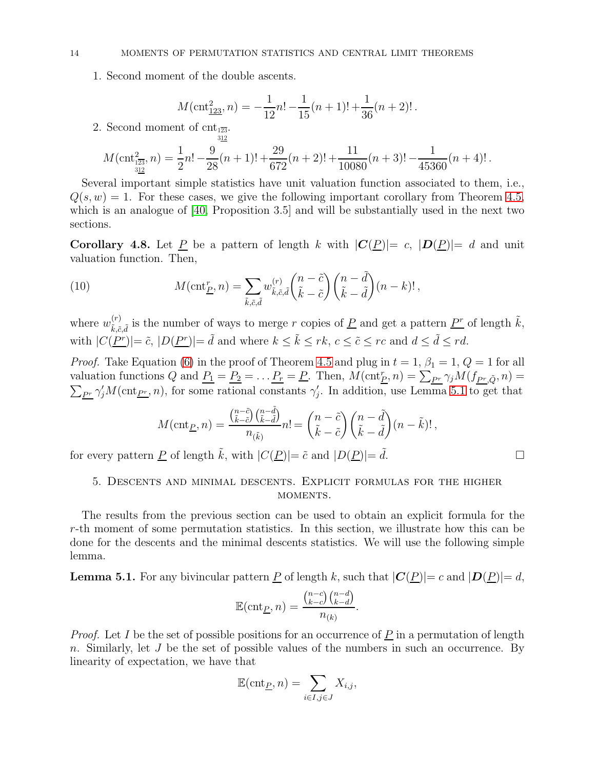1. Second moment of the double ascents.

$$
M(\text{cnt}_{\underline{123}}^2, n) = -\frac{1}{12}n! - \frac{1}{15}(n+1)! + \frac{1}{36}(n+2)!.
$$

2. Second moment of  $\text{cnt}_{123}$ . 312

$$
M(\text{cnt}_{123}^{2}, n) = \frac{1}{2}n! - \frac{9}{28}(n+1)! + \frac{29}{672}(n+2)! + \frac{11}{10080}(n+3)! - \frac{1}{45360}(n+4)!.
$$

Several important simple statistics have unit valuation function associated to them, i.e.,  $Q(s, w) = 1$ . For these cases, we give the following important corollary from Theorem [4.5,](#page-11-0) which is an analogue of [\[40,](#page-25-2) Proposition 3.5] and will be substantially used in the next two sections.

<span id="page-13-2"></span>Corollary 4.8. Let P be a pattern of length k with  $|C(P)|=c, |D(P)|=d$  and unit valuation function. Then,

(10) 
$$
M(\text{cnt}_{\underline{P}}^r, n) = \sum_{\tilde{k}, \tilde{c}, \tilde{d}} w_{\tilde{k}, \tilde{c}, \tilde{d}}^{(r)} \binom{n - \tilde{c}}{\tilde{k} - \tilde{c}} \binom{n - \tilde{d}}{\tilde{k} - \tilde{d}} (n - k)!,
$$

where  $w_{\tilde{h}, \tilde{g}}^{(r)}$  $\tilde{k}, \tilde{\varepsilon}, \tilde{d}$  is the number of ways to merge r copies of  $\underline{P}$  and get a pattern  $\underline{P^r}$  of length  $\tilde{k}$ , with  $|C(\underline{P^r})| = \tilde{c}$ ,  $|D(\underline{P^r})| = \tilde{d}$  and where  $k \leq \tilde{k} \leq rk$ ,  $c \leq \tilde{c} \leq rc$  and  $d \leq \tilde{d} \leq rd$ .

*Proof.* Take Equation [\(6\)](#page-11-2) in the proof of Theorem [4.5](#page-11-0) and plug in  $t = 1$ ,  $\beta_1 = 1$ ,  $Q = 1$  for all valuation functions Q and  $\underline{P_1} = \underline{P_2} = \dots \underline{P_r} = \underline{P}$ . Then,  $M(\text{cnt}_{\underline{P}}, n) = \sum_{\underline{P^r}} \gamma_j M(f_{\underline{P^r}, \tilde{Q}}, n) = \sum_{\underline{P^r}} \gamma_j M(\text{cnt}_{\underline{P^r}}, n)$ , for some rational constants  $\gamma'_j$ . In addition, use Lemma [5.1](#page-13-1) to get that

$$
M(\text{cnt}_{\underline{P}}, n) = \frac{{n-\tilde{c} \choose \tilde{k}-\tilde{d}} {n-\tilde{d} \choose \tilde{k}-\tilde{d}}}{n(\tilde{k})} n! = \binom{n-\tilde{c}}{\tilde{k}-\tilde{c}} \binom{n-\tilde{d}}{\tilde{k}-\tilde{d}} (n-\tilde{k})! \,,
$$

<span id="page-13-0"></span>for every pattern  $\underline{P}$  of length  $\tilde{k}$ , with  $|C(\underline{P})| = \tilde{c}$  and  $|D(\underline{P})| = \tilde{d}$ .

## 5. Descents and minimal descents. Explicit formulas for the higher MOMENTS.

The results from the previous section can be used to obtain an explicit formula for the r-th moment of some permutation statistics. In this section, we illustrate how this can be done for the descents and the minimal descents statistics. We will use the following simple lemma.

<span id="page-13-1"></span>**Lemma 5.1.** For any bivincular pattern P of length k, such that  $|C(P)|=c$  and  $|D(P)|=d$ ,

$$
\mathbb{E}(\text{cnt}_{\underline{P}}, n) = \frac{\binom{n-c}{k-c}\binom{n-d}{k-d}}{n_{(k)}}
$$

.

*Proof.* Let I be the set of possible positions for an occurrence of  $\underline{P}$  in a permutation of length n. Similarly, let J be the set of possible values of the numbers in such an occurrence. By linearity of expectation, we have that

$$
\mathbb{E}(\text{cnt}_{\underline{P}}, n) = \sum_{i \in I, j \in J} X_{i,j},
$$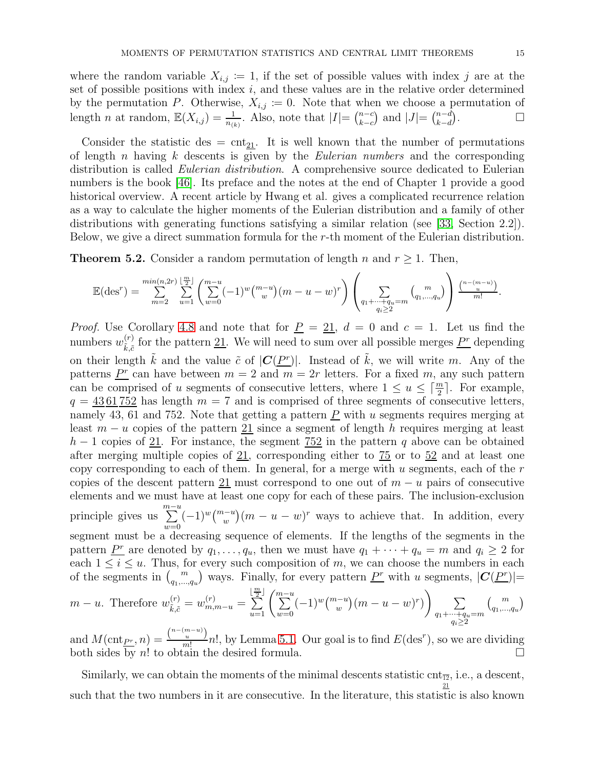where the random variable  $X_{i,j} := 1$ , if the set of possible values with index j are at the set of possible positions with index  $i$ , and these values are in the relative order determined by the permutation P. Otherwise,  $X_{i,j} := 0$ . Note that when we choose a permutation of length *n* at random,  $\mathbb{E}(X_{i,j}) = \frac{1}{n_{(k)}}$ . Also, note that  $|I| = \binom{n-c}{k-c}$  $_{k-c}^{n-c}$  and  $|J| = \binom{n-d}{k-d}$  $\binom{n-d}{k-d}$  $\Box$ 

Consider the statistic des =  $\text{cnt}_{21}$ . It is well known that the number of permutations of length n having k descents is given by the Eulerian numbers and the corresponding distribution is called *Eulerian distribution*. A comprehensive source dedicated to Eulerian numbers is the book [\[46\]](#page-25-23). Its preface and the notes at the end of Chapter 1 provide a good historical overview. A recent article by Hwang et al. gives a complicated recurrence relation as a way to calculate the higher moments of the Eulerian distribution and a family of other distributions with generating functions satisfying a similar relation (see [\[33,](#page-25-24) Section 2.2]). Below, we give a direct summation formula for the r-th moment of the Eulerian distribution.

<span id="page-14-0"></span>**Theorem 5.2.** Consider a random permutation of length n and  $r \ge 1$ . Then,

$$
\mathbb{E}(\text{des}^r) = \sum_{m=2}^{\min(n,2r)} \sum_{u=1}^{\lfloor \frac{m}{2} \rfloor} \left( \sum_{w=0}^{m-u} (-1)^w \binom{m-u}{w} (m-u-w)^r \right) \left( \sum_{\substack{q_1+\dots+q_u=m\\q_i \ge 2}} \binom{m}{q_1,\dots,q_u} \right) \frac{\binom{n-(m-u)}{u}}{m!}.
$$

*Proof.* Use Corollary [4.8](#page-13-2) and note that for  $\underline{P} = 21$ ,  $d = 0$  and  $c = 1$ . Let us find the numbers  $w_{\tilde{k},\tilde{s}}^{(r)}$  $\frac{(r)}{\tilde{k}, \tilde{c}}$  for the pattern 21. We will need to sum over all possible merges  $\underline{P^r}$  depending on their length  $\tilde{k}$  and the value  $\tilde{c}$  of  $|C(\underline{P^r})|$ . Instead of  $\tilde{k}$ , we will write m. Any of the patterns  $\underline{P^r}$  can have between  $m = 2$  and  $m = 2r$  letters. For a fixed m, any such pattern can be comprised of u segments of consecutive letters, where  $1 \le u \le \lceil \frac{m}{2} \rceil$ . For example,  $q = 4361752$  has length  $m = 7$  and is comprised of three segments of consecutive letters, namely 43, 61 and 752. Note that getting a pattern  $\underline{P}$  with u segments requires merging at least  $m - u$  copies of the pattern 21 since a segment of length h requires merging at least  $h-1$  copies of 21. For instance, the segment 752 in the pattern q above can be obtained after merging multiple copies of 21, corresponding either to 75 or to 52 and at least one copy corresponding to each of them. In general, for a merge with  $u$  segments, each of the  $r$ copies of the descent pattern 21 must correspond to one out of  $m - u$  pairs of consecutive elements and we must have at least one copy for each of these pairs. The inclusion-exclusion principle gives us  $\sum_{n=1}^{\infty}$  $\sum_{w=0}^{\infty} (-1)^w \binom{m-u}{w} (m-u-w)^r$  ways to achieve that. In addition, every segment must be a decreasing sequence of elements. If the lengths of the segments in the pattern  $\underline{P^r}$  are denoted by  $q_1, \ldots, q_u$ , then we must have  $q_1 + \cdots + q_u = m$  and  $q_i \geq 2$  for each  $1 \leq i \leq u$ . Thus, for every such composition of m, we can choose the numbers in each of the segments in  $\binom{m}{q_1,\dots,q_u}$  ways. Finally, for every pattern  $\underline{P^r}$  with u segments,  $|\mathcal{C}(\underline{P^r})|$  $m-u$ . Therefore  $w_{\tilde{k},\tilde{c}}^{(r)}$  $k_{\tilde{k},\tilde{c}}^{(r)} = w_{m,m-u}^{(r)} =$  $\sum_{u=1}^{\lfloor \frac{m}{2} \rfloor} \left( \sum_{w=0}^{m-u} (-1)^w \binom{m-u}{w} (m-u-w)^r \right)_{q_1 + \dots + q_n}$  $q_1 + \cdots + q_u = m$  $q_i\geq 2$  ${m \choose q_1,...,q_u}$ 

and  $M(\text{cnt}_{\underline{Pr}}, n) = \frac{\binom{n-(m-u)}{u}}{m!}$  $\frac{u}{m!}$ , by Lemma [5.1.](#page-13-1) Our goal is to find  $E(\text{des}^r)$ , so we are dividing both sides by n! to obtain the desired formula.

Similarly, we can obtain the moments of the minimal descents statistic cnt  $\frac{1}{12}$ , i.e., a descent, such that the two numbers in it are consecutive. In the literature, this statistic is also known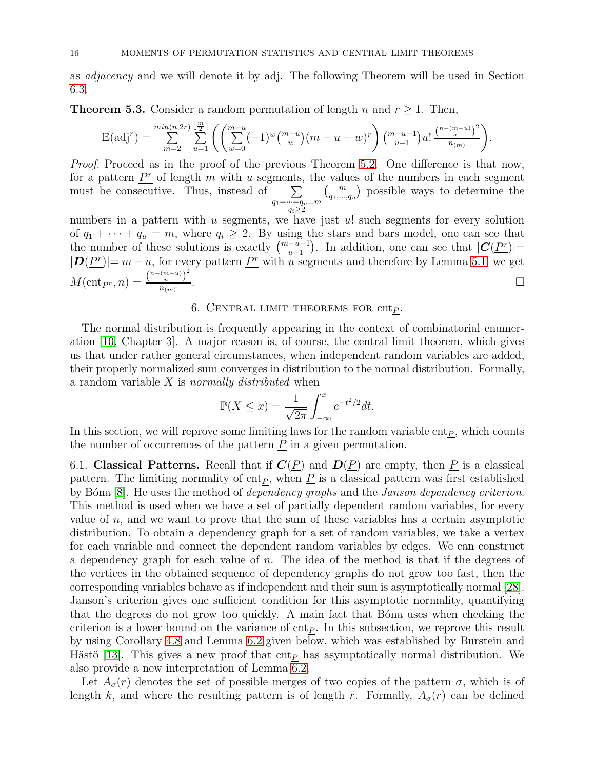as adjacency and we will denote it by adj. The following Theorem will be used in Section [6.3.](#page-20-0)

<span id="page-15-1"></span>**Theorem 5.3.** Consider a random permutation of length n and  $r \geq 1$ . Then,

$$
\mathbb{E}(\text{adj}^r) = \sum_{m=2}^{\min(n,2r)} \sum_{u=1}^{\lfloor \frac{m}{2} \rfloor} \left( \left( \sum_{w=0}^{m-u} (-1)^w \binom{m-u}{w} (m-u-w)^r \right) \binom{m-u-1}{u-u} u! \frac{\binom{n-(m-u)}{u}}{\binom{n}{m-u}} \right).
$$

Proof. Proceed as in the proof of the previous Theorem [5.2.](#page-14-0) One difference is that now, for a pattern  $P^r$  of length m with u segments, the values of the numbers in each segment must be consecutive. Thus, instead of  $q_1 + \cdots + q_u = m$ <br> $q_i \ge 2$  $\binom{m}{q_1,\dots,q_u}$  possible ways to determine the

numbers in a pattern with  $u$  segments, we have just  $u!$  such segments for every solution of  $q_1 + \cdots + q_u = m$ , where  $q_i \geq 2$ . By using the stars and bars model, one can see that the number of these solutions is exactly  $\binom{m-u-1}{u-1}$ . In addition, one can see that  $|C(\underline{P^r})|$ =  $|\mathbf{D}(\underline{P^r})| = m - u$ , for every pattern  $\underline{P^r}$  with u segments and therefore by Lemma [5.1,](#page-13-1) we get  $M(\text{cnt}_{P^{r}}, n) = \frac{\binom{n-(m-u)}{u}^2}{n}$  $n_{(m)}$ .

#### 6. CENTRAL LIMIT THEOREMS FOR  $\text{cnt}_P$ .

<span id="page-15-2"></span>The normal distribution is frequently appearing in the context of combinatorial enumeration [\[10,](#page-24-16) Chapter 3]. A major reason is, of course, the central limit theorem, which gives us that under rather general circumstances, when independent random variables are added, their properly normalized sum converges in distribution to the normal distribution. Formally, a random variable  $X$  is *normally distributed* when

$$
\mathbb{P}(X \le x) = \frac{1}{\sqrt{2\pi}} \int_{-\infty}^{x} e^{-t^2/2} dt.
$$

In this section, we will reprove some limiting laws for the random variable  $\text{cnt}_P$ , which counts the number of occurrences of the pattern  $\underline{P}$  in a given permutation.

<span id="page-15-0"></span>6.1. Classical Patterns. Recall that if  $C(\underline{P})$  and  $D(\underline{P})$  are empty, then  $\underline{P}$  is a classical pattern. The limiting normality of  $\text{cnt}_P$ , when  $\underline{P}$  is a classical pattern was first established by Bóna [\[8\]](#page-24-5). He uses the method of *dependency graphs* and the *Janson dependency criterion*. This method is used when we have a set of partially dependent random variables, for every value of  $n$ , and we want to prove that the sum of these variables has a certain asymptotic distribution. To obtain a dependency graph for a set of random variables, we take a vertex for each variable and connect the dependent random variables by edges. We can construct a dependency graph for each value of  $n$ . The idea of the method is that if the degrees of the vertices in the obtained sequence of dependency graphs do not grow too fast, then the corresponding variables behave as if independent and their sum is asymptotically normal [\[28\]](#page-25-25). Janson's criterion gives one sufficient condition for this asymptotic normality, quantifying that the degrees do not grow too quickly. A main fact that Bóna uses when checking the criterion is a lower bound on the variance of  $\text{cnt}_P$ . In this subsection, we reprove this result by using Corollary [4.8](#page-13-2) and Lemma [6.2](#page-16-0) given below, which was established by Burstein and Hästö [\[13\]](#page-24-8). This gives a new proof that  $\text{cnt}_P$  has asymptotically normal distribution. We also provide a new interpretation of Lemma [6.2.](#page-16-0)

Let  $A_{\sigma}(r)$  denotes the set of possible merges of two copies of the pattern  $\sigma$ , which is of length k, and where the resulting pattern is of length r. Formally,  $A_{\sigma}(r)$  can be defined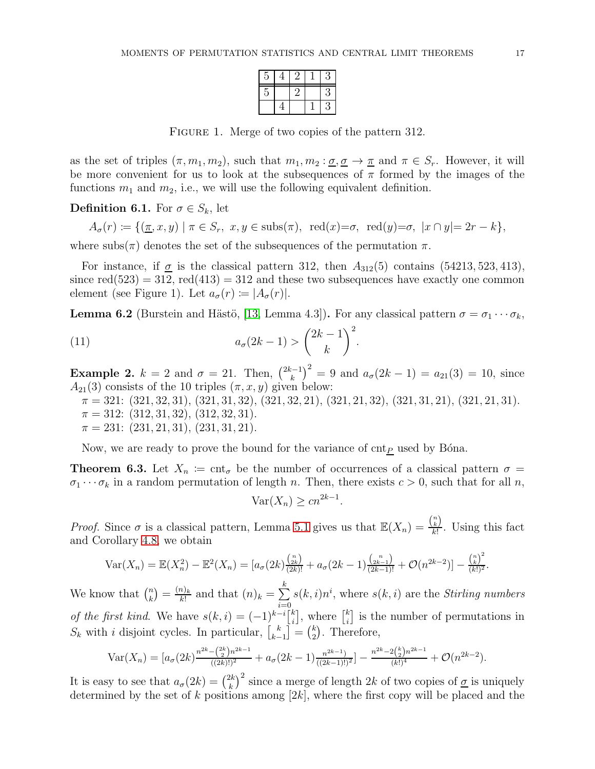| G | 4 |  | 3 |
|---|---|--|---|
| 5 |   |  | 3 |
|   | 4 |  | 3 |

FIGURE 1. Merge of two copies of the pattern 312.

as the set of triples  $(\pi, m_1, m_2)$ , such that  $m_1, m_2 : \underline{\sigma}, \underline{\sigma} \to \underline{\pi}$  and  $\pi \in S_r$ . However, it will be more convenient for us to look at the subsequences of  $\pi$  formed by the images of the functions  $m_1$  and  $m_2$ , i.e., we will use the following equivalent definition.

**Definition 6.1.** For  $\sigma \in S_k$ , let

 $A_{\sigma}(r) \coloneqq \{(\underline{\pi}, x, y) \mid \pi \in S_r, x, y \in \text{subs}(\pi), \text{ red}(x) = \sigma, \text{ red}(y) = \sigma, |x \cap y| = 2r - k\},\$ 

where subs( $\pi$ ) denotes the set of the subsequences of the permutation  $\pi$ .

For instance, if  $\sigma$  is the classical pattern 312, then  $A_{312}(5)$  contains (54213, 523, 413), since  $red(523) = 312$ ,  $red(413) = 312$  and these two subsequences have exactly one common element (see Figure 1). Let  $a_{\sigma}(r) \coloneqq |A_{\sigma}(r)|$ .

<span id="page-16-0"></span>**Lemma 6.2** (Burstein and Hästö, [\[13,](#page-24-8) Lemma 4.3]). For any classical pattern  $\sigma = \sigma_1 \cdots \sigma_k$ ,

(11) 
$$
a_{\sigma}(2k-1) > \binom{2k-1}{k}^2.
$$

**Example 2.**  $k = 2$  and  $\sigma = 21$ . Then,  $\binom{2k-1}{k}$  $\left(k_k^{(-1)}\right)^2 = 9$  and  $a_\sigma(2k-1) = a_{21}(3) = 10$ , since  $A_{21}(3)$  consists of the 10 triples  $(\pi, x, y)$  given below:

 $\pi = 321: (321, 32, 31), (321, 31, 32), (321, 32, 21), (321, 21, 32), (321, 31, 21), (321, 21, 31).$  $\pi = 312: (312, 31, 32), (312, 32, 31).$ 

 $\pi = 231: (231, 21, 31), (231, 31, 21).$ 

Now, we are ready to prove the bound for the variance of  $\text{cnt}_P$  used by Bona.

<span id="page-16-2"></span>**Theorem 6.3.** Let  $X_n := \text{cnt}_\sigma$  be the number of occurrences of a classical pattern  $\sigma =$  $\sigma_1 \cdots \sigma_k$  in a random permutation of length n. Then, there exists  $c > 0$ , such that for all n,

<span id="page-16-1"></span>
$$
\text{Var}(X_n) \ge cn^{2k-1}.
$$

*Proof.* Since  $\sigma$  is a classical pattern, Lemma [5.1](#page-13-1) gives us that  $\mathbb{E}(X_n) = \frac{\binom{n}{k}}{k!}$  $\frac{k}{k!}$ . Using this fact and Corollary [4.8,](#page-13-2) we obtain

$$
\text{Var}(X_n) = \mathbb{E}(X_n^2) - \mathbb{E}^2(X_n) = \left[a_\sigma(2k)\frac{\binom{n}{2k}}{(2k)!} + a_\sigma(2k-1)\frac{\binom{n}{2k-1}}{(2k-1)!} + \mathcal{O}(n^{2k-2})\right] - \frac{\binom{n}{k}^2}{(k!)^2}.
$$

We know that  $\binom{n}{k}$  $\binom{n}{k} = \frac{(n)_k}{k!}$  $\frac{n_{k}}{k!}$  and that  $(n)_{k} = \sum_{k=0}^{k}$ k  $i=0$  $s(k,i)n^i$ , where  $s(k,i)$  are the *Stirling numbers* of the first kind. We have  $s(k, i) = (-1)^{k-i} \begin{bmatrix} k \\ i \end{bmatrix}$  $\binom{k}{i}$ , where  $\binom{k}{i}$  $\binom{k}{i}$  is the number of permutations in  $S_k$  with i disjoint cycles. In particular,  $\begin{bmatrix} k \\ k \end{bmatrix}$  $\begin{pmatrix} k \\ k-1 \end{pmatrix} = \begin{pmatrix} k \\ 2 \end{pmatrix}$  $_{2}^{k}$ ). Therefore,

$$
\operatorname{Var}(X_n) = \left[a_\sigma(2k)\frac{n^{2k} - \binom{2k}{2}n^{2k-1}}{\left((2k)!\right)^2} + a_\sigma(2k-1)\frac{n^{2k-1}}{\left((2k-1)!\right)^2}\right] - \frac{n^{2k-2}\binom{k}{2}n^{2k-1}}{(k!)^4} + \mathcal{O}(n^{2k-2}).
$$

It is easy to see that  $a_{\sigma}(2k) = \binom{2k}{k}$  $\left(\frac{2k}{k}\right)^2$  since a merge of length  $2k$  of two copies of  $\underline{\sigma}$  is uniquely determined by the set of k positions among  $[2k]$ , where the first copy will be placed and the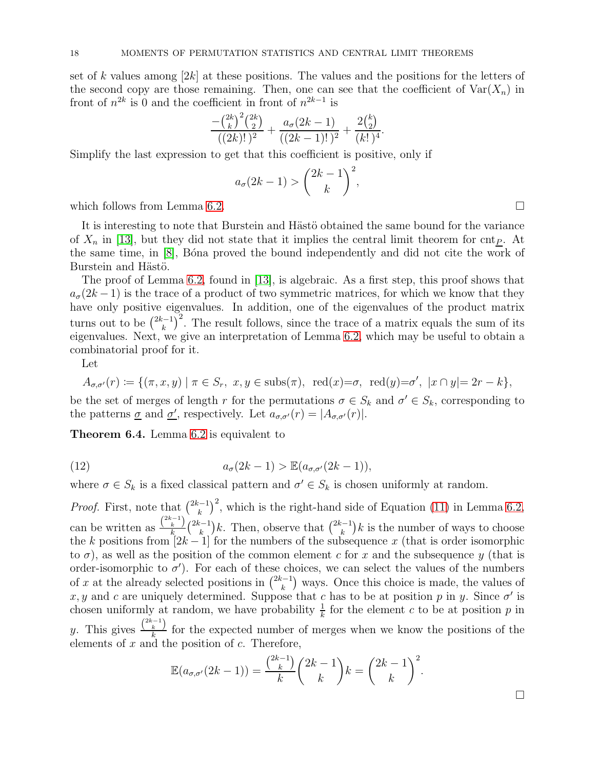set of k values among  $[2k]$  at these positions. The values and the positions for the letters of the second copy are those remaining. Then, one can see that the coefficient of  $\text{Var}(X_n)$  in front of  $n^{2k}$  is 0 and the coefficient in front of  $n^{2k-1}$  is

$$
\frac{-{\binom{2k}{k}}^2 {\binom{2k}{2}}}{((2k)!)^2} + \frac{a_\sigma(2k-1)}{((2k-1)!)^2} + \frac{2{\binom{k}{2}}}{(k!)^4}.
$$

Simplify the last expression to get that this coefficient is positive, only if

$$
a_{\sigma}(2k-1) > \binom{2k-1}{k}^2,
$$

which follows from Lemma [6.2.](#page-16-0)

It is interesting to note that Burstein and Hästö obtained the same bound for the variance of  $X_n$  in [\[13\]](#page-24-8), but they did not state that it implies the central limit theorem for cnt<sub>P</sub>. At the same time, in [\[8\]](#page-24-5), Bóna proved the bound independently and did not cite the work of Burstein and Hästö.

The proof of Lemma [6.2,](#page-16-0) found in [\[13\]](#page-24-8), is algebraic. As a first step, this proof shows that  $a_{\sigma}(2k-1)$  is the trace of a product of two symmetric matrices, for which we know that they have only positive eigenvalues. In addition, one of the eigenvalues of the product matrix turns out to be  $\binom{2k-1}{k}$  $(k_k^{-1})^2$ . The result follows, since the trace of a matrix equals the sum of its eigenvalues. Next, we give an interpretation of Lemma [6.2,](#page-16-0) which may be useful to obtain a combinatorial proof for it.

Let

$$
A_{\sigma,\sigma'}(r) \coloneqq \{ (\pi, x, y) \mid \pi \in S_r, \ x, y \in \text{subs}(\pi), \ \text{red}(x) = \sigma, \ \text{red}(y) = \sigma', \ |x \cap y| = 2r - k \},
$$

be the set of merges of length r for the permutations  $\sigma \in S_k$  and  $\sigma' \in S_k$ , corresponding to the patterns  $\underline{\sigma}$  and  $\underline{\sigma}'$ , respectively. Let  $a_{\sigma,\sigma'}(r) = |A_{\sigma,\sigma'}(r)|$ .

<span id="page-17-0"></span>Theorem 6.4. Lemma [6.2](#page-16-0) is equivalent to

(12) 
$$
a_{\sigma}(2k-1) > \mathbb{E}(a_{\sigma,\sigma'}(2k-1)),
$$

where  $\sigma \in S_k$  is a fixed classical pattern and  $\sigma' \in S_k$  is chosen uniformly at random.

*Proof.* First, note that  $\binom{2k-1}{k}$  $\binom{n-1}{k}^2$ , which is the right-hand side of Equation [\(11\)](#page-16-1) in Lemma [6.2,](#page-16-0) can be written as  $\frac{\binom{2k-1}{k}}{k}$  $\frac{k}{k}$   $\binom{2k-1}{k}$  $\binom{k-1}{k}k$ . Then, observe that  $\binom{2k-1}{k}$  $(k+1)k$  is the number of ways to choose the k positions from  $[2k-1]$  for the numbers of the subsequence x (that is order isomorphic to  $\sigma$ ), as well as the position of the common element c for x and the subsequence y (that is order-isomorphic to  $\sigma'$ ). For each of these choices, we can select the values of the numbers of x at the already selected positions in  $\binom{2k-1}{k}$  $(k<sub>k</sub>)$  ways. Once this choice is made, the values of x, y and c are uniquely determined. Suppose that c has to be at position p in y. Since  $\sigma'$  is chosen uniformly at random, we have probability  $\frac{1}{k}$  for the element c to be at position p in y. This gives  $\frac{\binom{2k-1}{k}}{k}$  $\frac{k}{k}$  for the expected number of merges when we know the positions of the elements of  $x$  and the position of  $c$ . Therefore,

$$
\mathbb{E}(a_{\sigma,\sigma'}(2k-1)) = \frac{\binom{2k-1}{k}}{k} \binom{2k-1}{k} k = \binom{2k-1}{k}^2.
$$

 $\Box$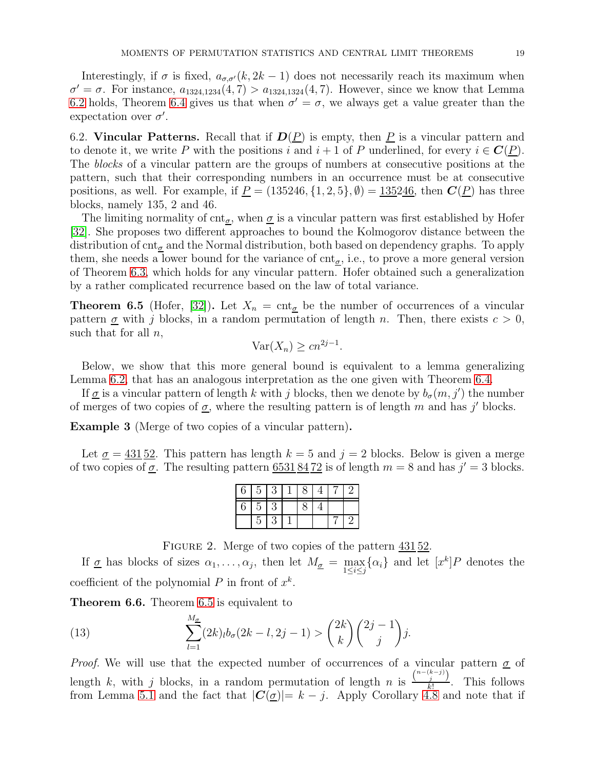Interestingly, if  $\sigma$  is fixed,  $a_{\sigma,\sigma'}(k, 2k-1)$  does not necessarily reach its maximum when  $\sigma' = \sigma$ . For instance,  $a_{1324,1234}(4,7) > a_{1324,1324}(4,7)$ . However, since we know that Lemma [6.2](#page-16-0) holds, Theorem [6.4](#page-17-0) gives us that when  $\sigma' = \sigma$ , we always get a value greater than the expectation over  $\sigma'$ .

<span id="page-18-0"></span>6.2. Vincular Patterns. Recall that if  $D(P)$  is empty, then P is a vincular pattern and to denote it, we write P with the positions i and  $i + 1$  of P underlined, for every  $i \in \mathbb{C}(P)$ . The blocks of a vincular pattern are the groups of numbers at consecutive positions at the pattern, such that their corresponding numbers in an occurrence must be at consecutive positions, as well. For example, if  $\underline{P} = (135246, \{1, 2, 5\}, \emptyset) = \underline{135246}$ , then  $C(\underline{P})$  has three blocks, namely 135, 2 and 46.

The limiting normality of  $\text{cnt}_\sigma$ , when  $\underline{\sigma}$  is a vincular pattern was first established by Hofer [\[32\]](#page-25-3). She proposes two different approaches to bound the Kolmogorov distance between the distribution of  $\text{cnt}_\sigma$  and the Normal distribution, both based on dependency graphs. To apply them, she needs a lower bound for the variance of  $\text{cnt}_\sigma$ , i.e., to prove a more general version of Theorem [6.3,](#page-16-2) which holds for any vincular pattern. Hofer obtained such a generalization by a rather complicated recurrence based on the law of total variance.

<span id="page-18-1"></span>**Theorem 6.5** (Hofer, [\[32\]](#page-25-3)). Let  $X_n = \text{cnt}_{\sigma}$  be the number of occurrences of a vincular pattern  $\sigma$  with j blocks, in a random permutation of length n. Then, there exists  $c > 0$ , such that for all  $n$ ,

$$
\text{Var}(X_n) \ge cn^{2j-1}.
$$

Below, we show that this more general bound is equivalent to a lemma generalizing Lemma [6.2,](#page-16-0) that has an analogous interpretation as the one given with Theorem [6.4.](#page-17-0)

If  $\underline{\sigma}$  is a vincular pattern of length k with j blocks, then we denote by  $b_{\sigma}(m, j')$  the number of merges of two copies of  $\underline{\sigma}$ , where the resulting pattern is of length m and has j' blocks.

Example 3 (Merge of two copies of a vincular pattern).

<span id="page-18-3"></span>Let  $\sigma = 43152$ . This pattern has length  $k = 5$  and  $j = 2$  blocks. Below is given a merge of two copies of  $\underline{\sigma}$ . The resulting pattern  $\underline{6531} \underline{84} \underline{72}$  is of length  $m = 8$  and has  $j' = 3$  blocks.

| 6 | $\bullet$ | Θ |  |  |
|---|-----------|---|--|--|
| 6 | ◡         |   |  |  |
|   |           |   |  |  |

<span id="page-18-2"></span>FIGURE 2. Merge of two copies of the pattern  $431\overline{52}$ .

If  $\underline{\sigma}$  has blocks of sizes  $\alpha_1, \ldots, \alpha_j$ , then let  $M_{\underline{\sigma}} = \max_{1 \leq i \leq j} {\{\alpha_i\}}$  and let  $[x^k]P$  denotes the coefficient of the polynomial  $P$  in front of  $x^k$ .

<span id="page-18-4"></span>Theorem 6.6. Theorem [6.5](#page-18-1) is equivalent to

(13) 
$$
\sum_{l=1}^{M_{\sigma}} (2k)_{l}b_{\sigma}(2k-l, 2j-1) > {\binom{2k}{k}} {\binom{2j-1}{j}} j.
$$

*Proof.* We will use that the expected number of occurrences of a vincular pattern  $\sigma$  of length k, with j blocks, in a random permutation of length n is  $\frac{\binom{n-(k-j)}{j}}{k!}$  $\frac{j}{k!}$ . This follows from Lemma [5.1](#page-13-1) and the fact that  $|\mathcal{C}(\underline{\sigma})|=k-j$ . Apply Corollary [4.8](#page-13-2) and note that if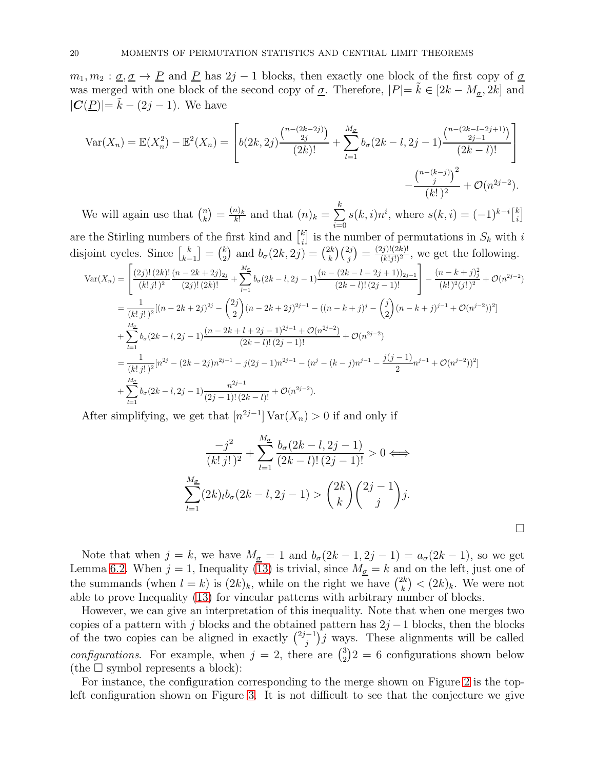$m_1, m_2 : \underline{\sigma}, \underline{\sigma} \to \underline{P}$  and  $\underline{P}$  has  $2j - 1$  blocks, then exactly one block of the first copy of  $\underline{\sigma}$ was merged with one block of the second copy of  $\underline{\sigma}$ . Therefore,  $|P| = \tilde{k} \in [2k - M_{\sigma}, 2k]$  and  $|\mathbf{C}(\underline{P})| = k - (2j - 1)$ . We have

$$
\operatorname{Var}(X_n) = \mathbb{E}(X_n^2) - \mathbb{E}^2(X_n) = \left[ b(2k, 2j) \frac{\binom{n - (2k - 2j)}{2j}}{(2k)!} + \sum_{l=1}^{M_{\sigma}} b_{\sigma}(2k - l, 2j - 1) \frac{\binom{n - (2k - l - 2j + 1)}{2j - 1}}{(2k - l)!} - \frac{\binom{n - (k - j)}{j}}{(k!)^2} + \mathcal{O}(n^{2j - 2}).\right]
$$

We will again use that  $\binom{n}{k}$  $\binom{n}{k} = \frac{(n)_k}{k!}$  $\frac{n_{k}}{k!}$  and that  $(n)_{k} = \sum_{k=0}^{k}$ k  $i=0$  $s(k, i)n^i$ , where  $s(k, i) = (-1)^{k-i} \binom{k}{i}$  $\binom{k}{i}$ are the Stirling numbers of the first kind and  $\begin{bmatrix} k \\ i \end{bmatrix}$  $i \choose i$  is the number of permutations in  $S_k$  with i disjoint cycles. Since  $\begin{bmatrix} k \\ k \end{bmatrix}$  $\begin{bmatrix} k \\ k-1 \end{bmatrix} = \begin{bmatrix} k \\ 2 \end{bmatrix}$  $\binom{k}{2}$  and  $b_{\sigma}(2k, 2j) = \binom{2k}{k}$  $\binom{2k}{k}\binom{2j}{j}=\frac{(2j)!(2k)!}{(k!j!)^2}$  $\frac{\binom{2g}{j!(2k)!}}{(k!j!)^2}$ , we get the following.

$$
\operatorname{Var}(X_n) = \left[ \frac{(2j)!(2k)!(n-2k+2j)_{2j}}{(k!j!)^2} + \sum_{l=1}^{M_a} b_{\sigma}(2k-l,2j-1) \frac{(n-(2k-l-2j+1))_{2j-1}}{(2k-l)!(2j-1)!} \right] - \frac{(n-k+j)_{j}^2}{(k!)^2(j!)^2} + \mathcal{O}(n^{2j-2})
$$
  
\n
$$
= \frac{1}{(k!j!)^2} [(n-2k+2j)^{2j} - {2j \choose 2} (n-2k+2j)^{2j-1} - ((n-k+j)^j - {j \choose 2} (n-k+j)^{j-1} + \mathcal{O}(n^{j-2}))^2]
$$
  
\n
$$
+ \sum_{l=1}^{M_a} b_{\sigma}(2k-l,2j-1) \frac{(n-2k+l+2j-1)^{2j-1} + \mathcal{O}(n^{2j-2})}{(2k-l)!(2j-1)!} + \mathcal{O}(n^{2j-2})
$$
  
\n
$$
= \frac{1}{(k!j!)^2} [n^{2j} - (2k-2j)n^{2j-1} - j(2j-1)n^{2j-1} - (n^j - (k-j)n^{j-1} - \frac{j(j-1)}{2}n^{j-1} + \mathcal{O}(n^{j-2}))^2]
$$
  
\n
$$
+ \sum_{l=1}^{M_a} b_{\sigma}(2k-l,2j-1) \frac{n^{2j-1}}{(2j-1)!(2k-l)!} + \mathcal{O}(n^{2j-2}).
$$

After simplifying, we get that  $[n^{2j-1}]$   $\text{Var}(X_n) > 0$  if and only if

$$
\frac{-j^2}{(k! j!)^2} + \sum_{l=1}^{M_{\underline{\sigma}}} \frac{b_{\sigma}(2k-l, 2j-1)}{(2k-l)!(2j-1)!} > 0 \Longleftrightarrow
$$
  

$$
\sum_{l=1}^{M_{\underline{\sigma}}} (2k)_{l}b_{\sigma}(2k-l, 2j-1) > {2k \choose k} {2j-1 \choose j} j.
$$

Note that when  $j = k$ , we have  $M_{\sigma} = 1$  and  $b_{\sigma}(2k - 1, 2j - 1) = a_{\sigma}(2k - 1)$ , so we get Lemma [6.2.](#page-16-0) When  $j = 1$ , Inequality [\(13\)](#page-18-2) is trivial, since  $M_{\sigma} = k$  and on the left, just one of the summands (when  $l = k$ ) is  $(2k)_k$ , while on the right we have  $\binom{2k}{k}$  $\binom{2k}{k} < (2k)_k$ . We were not able to prove Inequality [\(13\)](#page-18-2) for vincular patterns with arbitrary number of blocks.

However, we can give an interpretation of this inequality. Note that when one merges two copies of a pattern with j blocks and the obtained pattern has  $2j - 1$  blocks, then the blocks of the two copies can be aligned in exactly  $\binom{2j-1}{i}$  $j^{-1}$ ) *j* ways. These alignments will be called *configurations.* For example, when  $j = 2$ , there are  $\binom{3}{2}$  $^{3}_{2}$ )2 = 6 configurations shown below (the  $\square$  symbol represents a block):

For instance, the configuration corresponding to the merge shown on Figure [2](#page-18-3) is the topleft configuration shown on Figure [3.](#page-20-1) It is not difficult to see that the conjecture we give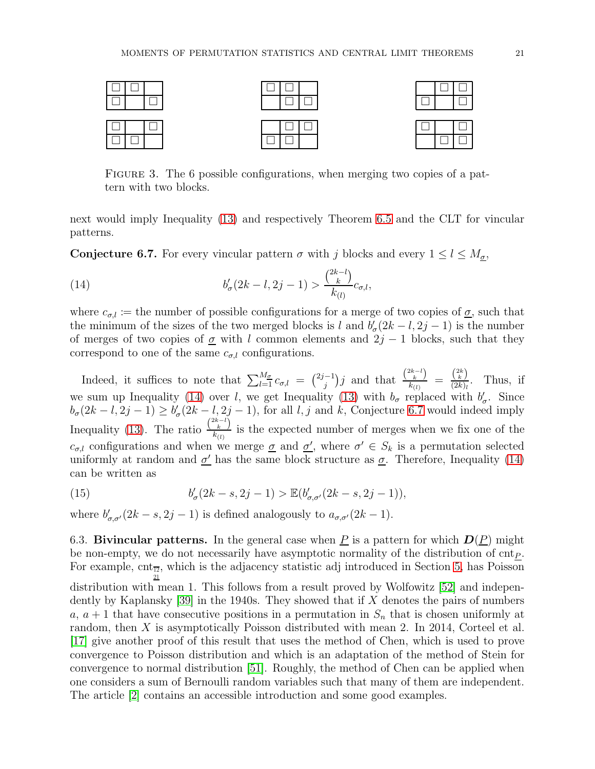<span id="page-20-1"></span>

FIGURE 3. The 6 possible configurations, when merging two copies of a pattern with two blocks.

next would imply Inequality [\(13\)](#page-18-2) and respectively Theorem [6.5](#page-18-1) and the CLT for vincular patterns.

<span id="page-20-3"></span>**Conjecture 6.7.** For every vincular pattern  $\sigma$  with j blocks and every  $1 \leq l \leq M_{\sigma}$ ,

<span id="page-20-2"></span>(14) 
$$
b'_{\sigma}(2k-l, 2j-1) > \frac{\binom{2k-l}{k}}{k_{(l)}}c_{\sigma,l},
$$

where  $c_{\sigma,l}$  := the number of possible configurations for a merge of two copies of  $\underline{\sigma}$ , such that the minimum of the sizes of the two merged blocks is l and  $b'_{\sigma}(2k-l, 2j-1)$  is the number of merges of two copies of  $\sigma$  with l common elements and  $2j - 1$  blocks, such that they correspond to one of the same  $c_{\sigma,l}$  configurations.

Indeed, it suffices to note that  $\sum_{l=1}^{M_{\sigma}} c_{\sigma,l} = \binom{2j-1}{j}$  $\binom{-1}{j}j$  and that  $\frac{\binom{2k-l}{k}}{k_{(l)}}$  $\frac{\binom{2k-l}{k}}{k_{(l)}}\ =\ \frac{\binom{2k}{k}}{(2k)_{l}}$  $\frac{(k)}{(2k)_l}$ . Thus, if we sum up Inequality [\(14\)](#page-20-2) over l, we get Inequality [\(13\)](#page-18-2) with  $b_{\sigma}$  replaced with  $b'_{\sigma}$ . Since  $b_{\sigma}(2k-l,2j-1) \geq b'_{\sigma}(2k-l,2j-1)$ , for all  $l, j$  and  $k$ , Conjecture [6.7](#page-20-3) would indeed imply Inequality [\(13\)](#page-18-2). The ratio  $\frac{\binom{2k-l}{k}}{\binom{k}{k}}$  $\frac{k}{k_{(l)}}$  is the expected number of merges when we fix one of the  $c_{\sigma,l}$  configurations and when we merge  $\underline{\sigma}$  and  $\underline{\sigma}'$ , where  $\sigma' \in S_k$  is a permutation selected uniformly at random and  $\underline{\sigma'}$  has the same block structure as  $\underline{\sigma}$ . Therefore, Inequality [\(14\)](#page-20-2) can be written as

(15) 
$$
b'_{\sigma}(2k-s, 2j-1) > \mathbb{E}(b'_{\sigma,\sigma'}(2k-s, 2j-1)),
$$

where  $b'_{\sigma,\sigma'}(2k-s,2j-1)$  is defined analogously to  $a_{\sigma,\sigma'}(2k-1)$ .

<span id="page-20-0"></span>6.3. Bivincular patterns. In the general case when  $\underline{P}$  is a pattern for which  $D(\underline{P})$  might be non-empty, we do not necessarily have asymptotic normality of the distribution of  $\text{cnt}_P$ . For example,  $\text{cnt}_{\overline{12}}$ , which is the adjacency statistic adj introduced in Section [5,](#page-13-0) has Poisson distribution with mean 1. This follows from a result proved by Wolfowitz [\[52\]](#page-25-26) and independently by Kaplansky [\[39\]](#page-25-27) in the 1940s. They showed that if X denotes the pairs of numbers a,  $a + 1$  that have consecutive positions in a permutation in  $S_n$  that is chosen uniformly at random, then X is asymptotically Poisson distributed with mean 2. In 2014, Corteel et al. [\[17\]](#page-24-9) give another proof of this result that uses the method of Chen, which is used to prove convergence to Poisson distribution and which is an adaptation of the method of Stein for convergence to normal distribution [\[51\]](#page-25-28). Roughly, the method of Chen can be applied when one considers a sum of Bernoulli random variables such that many of them are independent. The article [\[2\]](#page-24-17) contains an accessible introduction and some good examples.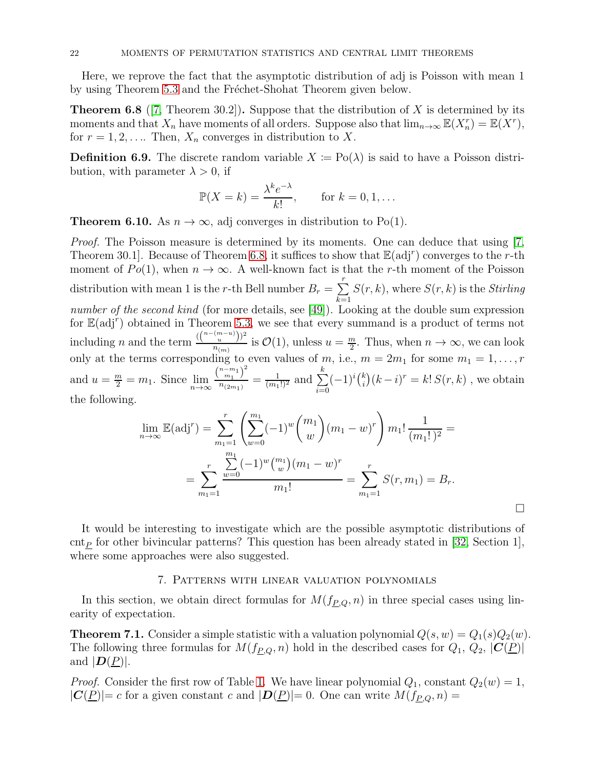Here, we reprove the fact that the asymptotic distribution of adj is Poisson with mean 1 by using Theorem [5.3](#page-15-1) and the Fréchet-Shohat Theorem given below.

<span id="page-21-1"></span>**Theorem 6.8** ([\[7,](#page-24-18) Theorem 30.2]). Suppose that the distribution of X is determined by its moments and that  $X_n$  have moments of all orders. Suppose also that  $\lim_{n\to\infty} \mathbb{E}(X_n^r) = \mathbb{E}(X^r)$ , for  $r = 1, 2, \ldots$  Then,  $X_n$  converges in distribution to X.

**Definition 6.9.** The discrete random variable  $X := Po(\lambda)$  is said to have a Poisson distribution, with parameter  $\lambda > 0$ , if

$$
\mathbb{P}(X = k) = \frac{\lambda^k e^{-\lambda}}{k!}, \quad \text{for } k = 0, 1, \dots
$$

**Theorem 6.10.** As  $n \to \infty$ , adj converges in distribution to Po(1).

Proof. The Poisson measure is determined by its moments. One can deduce that using [\[7,](#page-24-18) Theorem 30.1]. Because of Theorem [6.8,](#page-21-1) it suffices to show that  $\mathbb{E}(\text{adj}^r)$  converges to the r-th moment of  $Po(1)$ , when  $n \to \infty$ . A well-known fact is that the r-th moment of the Poisson distribution with mean 1 is the r-th Bell number  $B_r = \sum^r$  $k=1$  $S(r, k)$ , where  $S(r, k)$  is the Stirling number of the second kind (for more details, see [\[49\]](#page-25-29)). Looking at the double sum expression for  $\mathbb{E}(\text{adj}^r)$  obtained in Theorem [5.3,](#page-15-1) we see that every summand is a product of terms not including *n* and the term  $\frac{(\binom{n-(m-u)}{u})^2}{n}$  $\frac{u^{(n)}(u)}{u^{(n)}(u)}$  is  $\mathcal{O}(1)$ , unless  $u = \frac{m}{2}$  $\frac{n}{2}$ . Thus, when  $n \to \infty$ , we can look only at the terms corresponding to even values of m, i.e.,  $m = 2m_1$  for some  $m_1 = 1, \ldots, r$ and  $u = \frac{m}{2} = m_1$ . Since  $\lim_{n \to \infty} \frac{\binom{n-m_1}{m_1}^2}{\binom{n(m_1)}{m_1}}$  $\frac{m_1^{-1}}{n_{(2m_1)}} = \frac{1}{(m_1!)^2}$  and  $\sum_{i=0}$ k  $\sum_{i=0}^{n}(-1)^{i}\binom{k}{i}$  $\binom{k}{i}(k-i)^r = k! S(r, k)$ , we obtain the following.

$$
\lim_{n \to \infty} \mathbb{E}(\text{adj}^r) = \sum_{m_1=1}^r \left( \sum_{w=0}^{m_1} (-1)^w \binom{m_1}{w} (m_1 - w)^r \right) m_1! \frac{1}{(m_1!)^2} =
$$
\n
$$
= \sum_{m_1=1}^r \frac{\sum_{w=0}^{m_1} (-1)^w \binom{m_1}{w} (m_1 - w)^r}{m_1!} = \sum_{m_1=1}^r S(r, m_1) = B_r.
$$

 $\Box$ 

It would be interesting to investigate which are the possible asymptotic distributions of  $\text{cnt}_P$  for other bivincular patterns? This question has been already stated in [\[32,](#page-25-3) Section 1], where some approaches were also suggested.

### 7. Patterns with linear valuation polynomials

<span id="page-21-0"></span>In this section, we obtain direct formulas for  $M(f_{P,Q}, n)$  in three special cases using linearity of expectation.

**Theorem 7.1.** Consider a simple statistic with a valuation polynomial  $Q(s, w) = Q_1(s)Q_2(w)$ . The following three formulas for  $M(f_{\underline{P},Q}, n)$  hold in the described cases for  $Q_1, Q_2, |\mathbf{C}(\underline{P})|$ and  $|\mathbf{D}(\underline{P})|$ .

*Proof.* Consider the first row of Table [1.](#page-22-0) We have linear polynomial  $Q_1$ , constant  $Q_2(w) = 1$ ,  $|\mathcal{C}(\underline{P})|=c$  for a given constant c and  $|\mathcal{D}(\underline{P})|=0$ . One can write  $M(f_{\underline{P},Q}, n)=$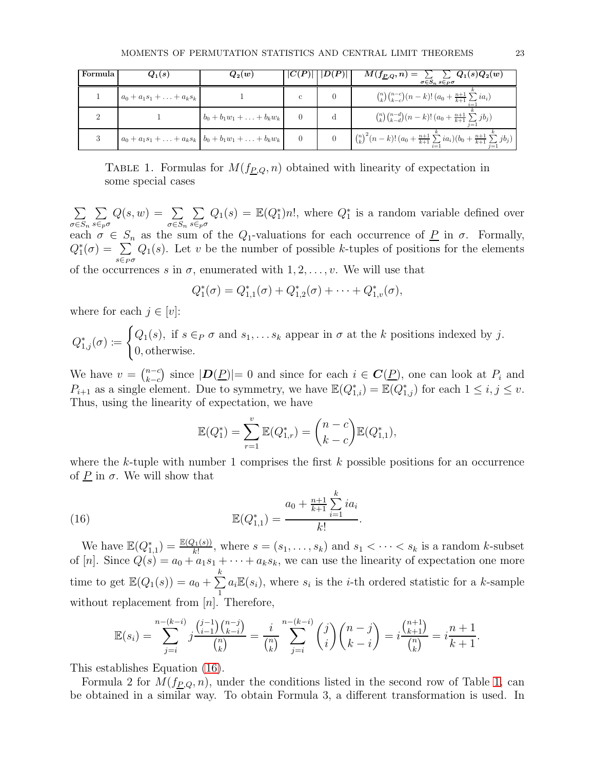<span id="page-22-0"></span>

| Formula | $Q_1(s)$                           | $Q_2(w)$                                                                      | $ C(P)  +  D(P) $ | $M(f_{\underline{P},Q},n) = \sum \sum Q_1(s)Q_2(w)$<br>$\sigma \in S_n$ $s \in P \sigma$ |
|---------|------------------------------------|-------------------------------------------------------------------------------|-------------------|------------------------------------------------------------------------------------------|
|         | $a_0 + a_1 s_1 + \ldots + a_k s_k$ |                                                                               | C                 | $\binom{n}{k}\binom{n-c}{k-c}(n-k)!\left(a_0+\frac{n+1}{k+1}\sum ia_i\right)$            |
| ച       |                                    | $b_0 + b_1 w_1 + \ldots + b_k w_k$                                            |                   | $\binom{n}{k}\binom{n-d}{k-d}(n-k)!\left(a_0+\frac{n+1}{k+1}\sum jb_j\right)$            |
|         |                                    | $a_0 + a_1 s_1 + \ldots + a_k s_k \mid b_0 + b_1 w_1 + \ldots + b_k w_k \mid$ | $\theta$          | $\binom{n}{k}^2(n-k)!(a_0+\frac{n+1}{k+1}\sum ia_i)(b_0+\frac{n+1}{k+1}\sum jb_j)$       |

TABLE 1. Formulas for  $M(f_{\underline{P},Q}, n)$  obtained with linearity of expectation in some special cases

 $\sum$  $\sigma {\in} S_n$  $\sum$  $s \in_p \sigma$  $Q(s, w) = \sum$  $\sigma \in S_n$  $\sum$  $s \in_p \sigma$  $Q_1(s) = \mathbb{E}(Q_1^*)n!$ , where  $Q_1^*$  is a random variable defined over each  $\sigma \in S_n$  as the sum of the  $Q_1$ -valuations for each occurrence of  $\underline{P}$  in  $\sigma$ . Formally,  $Q_1^*(\sigma) = \sum$  $s \in_P \sigma$  $Q_1(s)$ . Let v be the number of possible k-tuples of positions for the elements of the occurrences s in  $\sigma$ , enumerated with  $1, 2, \ldots, v$ . We will use that

$$
Q_1^*(\sigma) = Q_{1,1}^*(\sigma) + Q_{1,2}^*(\sigma) + \cdots + Q_{1,v}^*(\sigma),
$$

where for each  $j \in [v]$ :

$$
Q_{1,j}^*(\sigma) \coloneqq \begin{cases} Q_1(s), \text{ if } s \in_P \sigma \text{ and } s_1, \dots s_k \text{ appear in } \sigma \text{ at the } k \text{ positions indexed by } j. \\ 0, \text{otherwise.} \end{cases}
$$

We have  $v = \binom{n-c}{k-c}$  $\binom{n-c}{k-c}$  since  $|\mathbf{D}(\underline{P})|=0$  and since for each  $i \in \mathbf{C}(\underline{P})$ , one can look at  $P_i$  and  $P_{i+1}$  as a single element. Due to symmetry, we have  $\mathbb{E}(Q_{1,i}^*) = \mathbb{E}(Q_{1,j}^*)$  for each  $1 \le i, j \le v$ . Thus, using the linearity of expectation, we have

<span id="page-22-1"></span>
$$
\mathbb{E}(Q_1^*) = \sum_{r=1}^v \mathbb{E}(Q_{1,r}^*) = {n-c \choose k-c} \mathbb{E}(Q_{1,1}^*),
$$

where the k-tuple with number 1 comprises the first  $k$  possible positions for an occurrence of P in  $\sigma$ . We will show that

(16) 
$$
\mathbb{E}(Q_{1,1}^*) = \frac{a_0 + \frac{n+1}{k+1} \sum_{i=1}^k ia_i}{k!}.
$$

We have  $\mathbb{E}(Q_{1,1}^*) = \frac{\mathbb{E}(Q_1(s))}{k!}$ , where  $s = (s_1, \ldots, s_k)$  and  $s_1 < \cdots < s_k$  is a random k-subset of [n]. Since  $Q(s) = a_0 + a_1 s_1 + \cdots + a_k s_k$ , we can use the linearity of expectation one more time to get  $\mathbb{E}(Q_1(s)) = a_0 + \sum$ k 1  $a_i \mathbb{E}(s_i)$ , where  $s_i$  is the *i*-th ordered statistic for a *k*-sample without replacement from  $[n]$ . Therefore,

$$
\mathbb{E}(s_i) = \sum_{j=i}^{n-(k-i)} j \frac{\binom{j-1}{i-1} \binom{n-j}{k-i}}{\binom{n}{k}} = \frac{i}{\binom{n}{k}} \sum_{j=i}^{n-(k-i)} \binom{j}{i} \binom{n-j}{k-i} = i \frac{\binom{n+1}{k+1}}{\binom{n}{k}} = i \frac{n+1}{k+1}.
$$

This establishes Equation [\(16\)](#page-22-1).

Formula 2 for  $M(f_{P,Q}, n)$ , under the conditions listed in the second row of Table [1,](#page-22-0) can be obtained in a similar way. To obtain Formula 3, a different transformation is used. In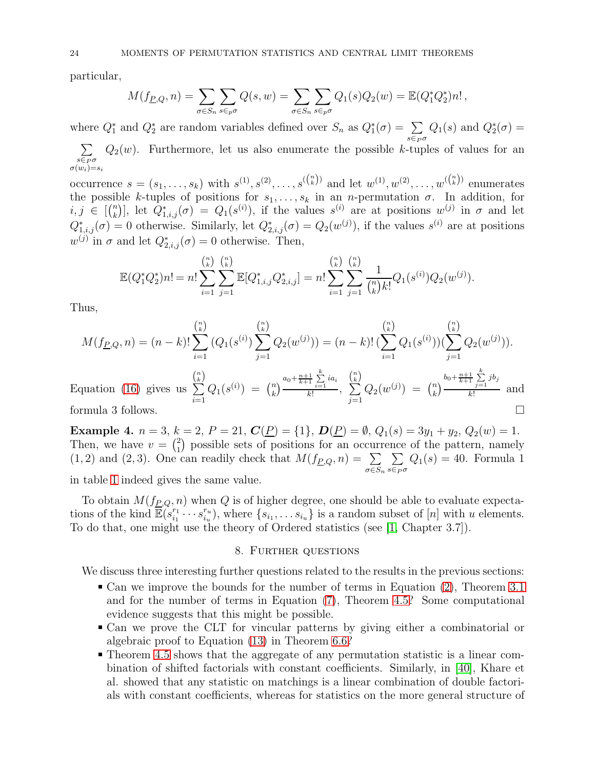particular,

$$
M(f_{\underline{P},Q},n) = \sum_{\sigma \in S_n} \sum_{s \in p\sigma} Q(s,w) = \sum_{\sigma \in S_n} \sum_{s \in p\sigma} Q_1(s)Q_2(w) = \mathbb{E}(Q_1^*Q_2^*)n!,
$$

where  $Q_1^*$  and  $Q_2^*$  are random variables defined over  $S_n$  as  $Q_1^*(\sigma) = \sum$  $s \in_P \sigma$  $Q_1(s)$  and  $Q_2^*(\sigma) =$  $\sum$  $s \in_P \sigma$  $\sigma(w_i)=s_i$  $Q_2(w)$ . Furthermore, let us also enumerate the possible k-tuples of values for an

occurrence  $s = (s_1, \ldots, s_k)$  with  $s^{(1)}, s^{(2)}, \ldots, s^{(\binom{n}{k})}$  and let  $w^{(1)}, w^{(2)}, \ldots, w^{(\binom{n}{k})}$  enumerates the possible k-tuples of positions for  $s_1, \ldots, s_k$  in an n-permutation  $\sigma$ . In addition, for  $i, j \in \lbrack {n \choose k}$ <sup>n</sup><sub>k</sub>)], let  $Q_{1,i,j}^*(\sigma) = Q_1(s^{(i)})$ , if the values  $s^{(i)}$  are at positions  $w^{(j)}$  in  $\sigma$  and let  $Q_{1,i,j}^*(\sigma) = 0$  otherwise. Similarly, let  $Q_{2,i,j}^*(\sigma) = Q_2(w^{(j)})$ , if the values  $s^{(i)}$  are at positions  $w^{(j)}$  in  $\sigma$  and let  $Q_{2,i,j}^*(\sigma) = 0$  otherwise. Then,

$$
\mathbb{E}(Q_1^*Q_2^*)n! = n! \sum_{i=1}^{\binom{n}{k}} \sum_{j=1}^{\binom{n}{k}} \mathbb{E}[Q_{1,i,j}^*Q_{2,i,j}^*] = n! \sum_{i=1}^{\binom{n}{k}} \sum_{j=1}^{\binom{n}{k}} \frac{1}{\binom{n}{k}k!} Q_1(s^{(i)}) Q_2(w^{(j)}).
$$

Thus,

$$
M(f_{\underline{P},Q},n) = (n-k)! \sum_{i=1}^{\binom{n}{k}} (Q_1(s^{(i)}) \sum_{j=1}^{\binom{n}{k}} Q_2(w^{(j)})) = (n-k)! \sum_{i=1}^{\binom{n}{k}} Q_1(s^{(i)}) (\sum_{j=1}^{\binom{n}{k}} Q_2(w^{(j)})).
$$
  
Equation (16) gives us 
$$
\sum_{i=1}^{\binom{n}{k}} Q_1(s^{(i)}) = \binom{n}{k} \frac{a_0 + \frac{n+1}{k+1} \sum_{i=1}^k i a_i}{k!}, \sum_{j=1}^{\binom{n}{k}} Q_2(w^{(j)}) = \binom{n}{k} \frac{b_0 + \frac{n+1}{k+1} \sum_{j=1}^k j b_j}{k!}
$$
 and

formula 3 follows.  $\Box$ 

Example 4.  $n = 3$ ,  $k = 2$ ,  $P = 21$ ,  $C(\underline{P}) = \{1\}$ ,  $D(\underline{P}) = \emptyset$ ,  $Q_1(s) = 3y_1 + y_2$ ,  $Q_2(w) = 1$ . Then, we have  $v = \binom{2}{1}$  $\binom{2}{1}$  possible sets of positions for an occurrence of the pattern, namely  $(1, 2)$  and  $(2, 3)$ . One can readily check that  $M(f_{\underline{P},Q}, n) = \sum$  $\sigma \in S_n$  $\sum$  $s \in_P \sigma$  $Q_1(s) = 40$ . Formula 1

in table [1](#page-22-0) indeed gives the same value.

To obtain  $M(f_{\underline{P},Q}, n)$  when Q is of higher degree, one should be able to evaluate expectations of the kind  $\overline{\mathbb{E}}(s_{i_1}^{r_1})$  $\sum_{i_1}^{r_1} \cdots s_{i_u}^{r_u}$  $\begin{bmatrix} u_u \\ i_u \end{bmatrix}$ , where  $\{s_{i_1}, \ldots s_{i_u}\}$  is a random subset of  $[n]$  with u elements. To do that, one might use the theory of Ordered statistics (see [\[1,](#page-24-19) Chapter 3.7]).

#### 8. Further questions

We discuss three interesting further questions related to the results in the previous sections:

- Can we improve the bounds for the number of terms in Equation [\(2\)](#page-5-1), Theorem [3.1](#page-5-2) and for the number of terms in Equation [\(7\)](#page-11-3), Theorem [4.5?](#page-11-0) Some computational evidence suggests that this might be possible.
- Can we prove the CLT for vincular patterns by giving either a combinatorial or algebraic proof to Equation [\(13\)](#page-18-2) in Theorem [6.6?](#page-18-4)
- Theorem [4.5](#page-11-0) shows that the aggregate of any permutation statistic is a linear combination of shifted factorials with constant coefficients. Similarly, in [\[40\]](#page-25-2), Khare et al. showed that any statistic on matchings is a linear combination of double factorials with constant coefficients, whereas for statistics on the more general structure of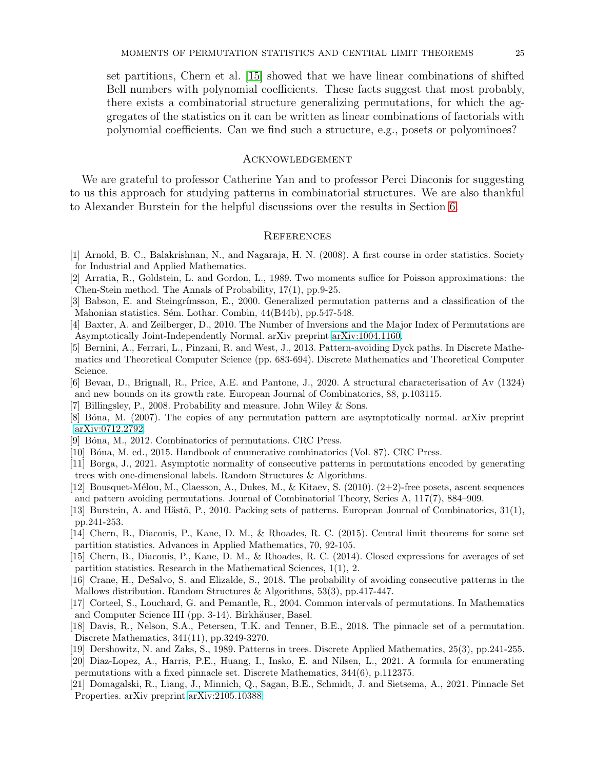set partitions, Chern et al. [\[15\]](#page-24-3) showed that we have linear combinations of shifted Bell numbers with polynomial coefficients. These facts suggest that most probably, there exists a combinatorial structure generalizing permutations, for which the aggregates of the statistics on it can be written as linear combinations of factorials with polynomial coefficients. Can we find such a structure, e.g., posets or polyominoes?

#### Acknowledgement

We are grateful to professor Catherine Yan and to professor Perci Diaconis for suggesting to us this approach for studying patterns in combinatorial structures. We are also thankful to Alexander Burstein for the helpful discussions over the results in Section [6.](#page-15-2)

#### **REFERENCES**

- <span id="page-24-19"></span><span id="page-24-17"></span>[1] Arnold, B. C., Balakrishnan, N., and Nagaraja, H. N. (2008). A first course in order statistics. Society for Industrial and Applied Mathematics.
- [2] Arratia, R., Goldstein, L. and Gordon, L., 1989. Two moments suffice for Poisson approximations: the Chen-Stein method. The Annals of Probability, 17(1), pp.9-25.
- <span id="page-24-11"></span>[3] Babson, E. and Steingrímsson, E., 2000. Generalized permutation patterns and a classification of the Mahonian statistics. Sém. Lothar. Combin, 44(B44b), pp.547-548.
- <span id="page-24-7"></span><span id="page-24-1"></span>[4] Baxter, A. and Zeilberger, D., 2010. The Number of Inversions and the Major Index of Permutations are Asymptotically Joint-Independently Normal. arXiv preprint [arXiv:1004.1160.](http://arxiv.org/abs/1004.1160)
- [5] Bernini, A., Ferrari, L., Pinzani, R. and West, J., 2013. Pattern-avoiding Dyck paths. In Discrete Mathematics and Theoretical Computer Science (pp. 683-694). Discrete Mathematics and Theoretical Computer Science.
- <span id="page-24-12"></span>[6] Bevan, D., Brignall, R., Price, A.E. and Pantone, J., 2020. A structural characterisation of Av (1324) and new bounds on its growth rate. European Journal of Combinatorics, 88, p.103115.
- <span id="page-24-18"></span><span id="page-24-5"></span>[7] Billingsley, P., 2008. Probability and measure. John Wiley & Sons.
- <span id="page-24-2"></span>[8] B´ona, M. (2007). The copies of any permutation pattern are asymptotically normal. arXiv preprint [arXiv:0712.2792.](http://arxiv.org/abs/0712.2792)
- <span id="page-24-16"></span>[9] Bóna, M., 2012. Combinatorics of permutations. CRC Press.
- <span id="page-24-4"></span>[10] Bóna, M. ed., 2015. Handbook of enumerative combinatorics (Vol. 87). CRC Press.
- [11] Borga, J., 2021. Asymptotic normality of consecutive patterns in permutations encoded by generating trees with one-dimensional labels. Random Structures & Algorithms.
- <span id="page-24-10"></span>[12] Bousquet-M´elou, M., Claesson, A., Dukes, M., & Kitaev, S. (2010). (2+2)-free posets, ascent sequences and pattern avoiding permutations. Journal of Combinatorial Theory, Series A, 117(7), 884–909.
- <span id="page-24-8"></span>[13] Burstein, A. and Hästö, P., 2010. Packing sets of patterns. European Journal of Combinatorics,  $31(1)$ , pp.241-253.
- [14] Chern, B., Diaconis, P., Kane, D. M., & Rhoades, R. C. (2015). Central limit theorems for some set partition statistics. Advances in Applied Mathematics, 70, 92-105.
- <span id="page-24-3"></span>[15] Chern, B., Diaconis, P., Kane, D. M., & Rhoades, R. C. (2014). Closed expressions for averages of set partition statistics. Research in the Mathematical Sciences, 1(1), 2.
- <span id="page-24-6"></span>[16] Crane, H., DeSalvo, S. and Elizalde, S., 2018. The probability of avoiding consecutive patterns in the Mallows distribution. Random Structures & Algorithms, 53(3), pp.417-447.
- <span id="page-24-9"></span>[17] Corteel, S., Louchard, G. and Pemantle, R., 2004. Common intervals of permutations. In Mathematics and Computer Science III (pp. 3-14). Birkhäuser, Basel.
- <span id="page-24-13"></span>[18] Davis, R., Nelson, S.A., Petersen, T.K. and Tenner, B.E., 2018. The pinnacle set of a permutation. Discrete Mathematics, 341(11), pp.3249-3270.
- <span id="page-24-14"></span><span id="page-24-0"></span>[19] Dershowitz, N. and Zaks, S., 1989. Patterns in trees. Discrete Applied Mathematics, 25(3), pp.241-255.
- [20] Diaz-Lopez, A., Harris, P.E., Huang, I., Insko, E. and Nilsen, L., 2021. A formula for enumerating permutations with a fixed pinnacle set. Discrete Mathematics, 344(6), p.112375.
- <span id="page-24-15"></span>[21] Domagalski, R., Liang, J., Minnich, Q., Sagan, B.E., Schmidt, J. and Sietsema, A., 2021. Pinnacle Set Properties. arXiv preprint [arXiv:2105.10388.](http://arxiv.org/abs/2105.10388)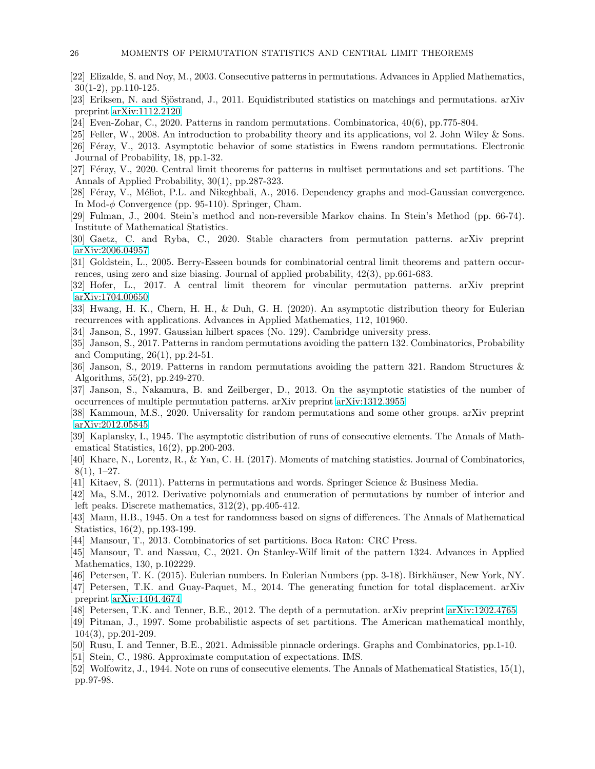- <span id="page-25-18"></span><span id="page-25-17"></span>[22] Elizalde, S. and Noy, M., 2003. Consecutive patterns in permutations. Advances in Applied Mathematics, 30(1-2), pp.110-125.
- <span id="page-25-14"></span>[23] Eriksen, N. and Sjöstrand, J., 2011. Equidistributed statistics on matchings and permutations. arXiv preprint [arXiv:1112.2120.](http://arxiv.org/abs/1112.2120)
- <span id="page-25-5"></span>[24] Even-Zohar, C., 2020. Patterns in random permutations. Combinatorica, 40(6), pp.775-804.
- <span id="page-25-13"></span>[25] Feller, W., 2008. An introduction to probability theory and its applications, vol 2. John Wiley & Sons.
- [26] Féray, V., 2013. Asymptotic behavior of some statistics in Ewens random permutations. Electronic Journal of Probability, 18, pp.1-32.
- <span id="page-25-25"></span>[27] Féray, V., 2020. Central limit theorems for patterns in multiset permutations and set partitions. The Annals of Applied Probability, 30(1), pp.287-323.
- [28] Féray, V., Méliot, P.L. and Nikeghbali, A., 2016. Dependency graphs and mod-Gaussian convergence. In Mod- $\phi$  Convergence (pp. 95-110). Springer, Cham.
- <span id="page-25-7"></span><span id="page-25-4"></span>[29] Fulman, J., 2004. Stein's method and non-reversible Markov chains. In Stein's Method (pp. 66-74). Institute of Mathematical Statistics.
- <span id="page-25-8"></span>[30] Gaetz, C. and Ryba, C., 2020. Stable characters from permutation patterns. arXiv preprint [arXiv:2006.04957.](http://arxiv.org/abs/2006.04957)
- [31] Goldstein, L., 2005. Berry-Esseen bounds for combinatorial central limit theorems and pattern occurrences, using zero and size biasing. Journal of applied probability, 42(3), pp.661-683.
- <span id="page-25-24"></span><span id="page-25-3"></span>[32] Hofer, L., 2017. A central limit theorem for vincular permutation patterns. arXiv preprint [arXiv:1704.00650.](http://arxiv.org/abs/1704.00650)
- <span id="page-25-15"></span>[33] Hwang, H. K., Chern, H. H., & Duh, G. H. (2020). An asymptotic distribution theory for Eulerian recurrences with applications. Advances in Applied Mathematics, 112, 101960.
- <span id="page-25-10"></span>[34] Janson, S., 1997. Gaussian hilbert spaces (No. 129). Cambridge university press.
- [35] Janson, S., 2017. Patterns in random permutations avoiding the pattern 132. Combinatorics, Probability and Computing, 26(1), pp.24-51.
- <span id="page-25-11"></span>[36] Janson, S., 2019. Patterns in random permutations avoiding the pattern 321. Random Structures & Algorithms, 55(2), pp.249-270.
- <span id="page-25-12"></span>[37] Janson, S., Nakamura, B. and Zeilberger, D., 2013. On the asymptotic statistics of the number of occurrences of multiple permutation patterns. arXiv preprint [arXiv:1312.3955.](http://arxiv.org/abs/1312.3955)
- <span id="page-25-27"></span><span id="page-25-9"></span>[38] Kammoun, M.S., 2020. Universality for random permutations and some other groups. arXiv preprint [arXiv:2012.05845.](http://arxiv.org/abs/2012.05845)
- [39] Kaplansky, I., 1945. The asymptotic distribution of runs of consecutive elements. The Annals of Mathematical Statistics, 16(2), pp.200-203.
- <span id="page-25-2"></span>[40] Khare, N., Lorentz, R., & Yan, C. H. (2017). Moments of matching statistics. Journal of Combinatorics,  $8(1), 1-27.$
- <span id="page-25-21"></span><span id="page-25-1"></span>[41] Kitaev, S. (2011). Patterns in permutations and words. Springer Science & Business Media.
- [42] Ma, S.M., 2012. Derivative polynomials and enumeration of permutations by number of interior and left peaks. Discrete mathematics, 312(2), pp.405-412.
- <span id="page-25-6"></span>[43] Mann, H.B., 1945. On a test for randomness based on signs of differences. The Annals of Mathematical Statistics, 16(2), pp.193-199.
- <span id="page-25-16"></span><span id="page-25-0"></span>[44] Mansour, T., 2013. Combinatorics of set partitions. Boca Raton: CRC Press.
- [45] Mansour, T. and Nassau, C., 2021. On Stanley-Wilf limit of the pattern 1324. Advances in Applied Mathematics, 130, p.102229.
- <span id="page-25-23"></span><span id="page-25-20"></span>[46] Petersen, T. K. (2015). Eulerian numbers. In Eulerian Numbers (pp. 3-18). Birkhäuser, New York, NY.
- [47] Petersen, T.K. and Guay-Paquet, M., 2014. The generating function for total displacement. arXiv preprint [arXiv:1404.4674.](http://arxiv.org/abs/1404.4674)
- <span id="page-25-29"></span><span id="page-25-19"></span>[48] Petersen, T.K. and Tenner, B.E., 2012. The depth of a permutation. arXiv preprint [arXiv:1202.4765.](http://arxiv.org/abs/1202.4765)
- [49] Pitman, J., 1997. Some probabilistic aspects of set partitions. The American mathematical monthly, 104(3), pp.201-209.
- <span id="page-25-28"></span><span id="page-25-22"></span>[50] Rusu, I. and Tenner, B.E., 2021. Admissible pinnacle orderings. Graphs and Combinatorics, pp.1-10.
- <span id="page-25-26"></span>[51] Stein, C., 1986. Approximate computation of expectations. IMS.
- [52] Wolfowitz, J., 1944. Note on runs of consecutive elements. The Annals of Mathematical Statistics, 15(1), pp.97-98.